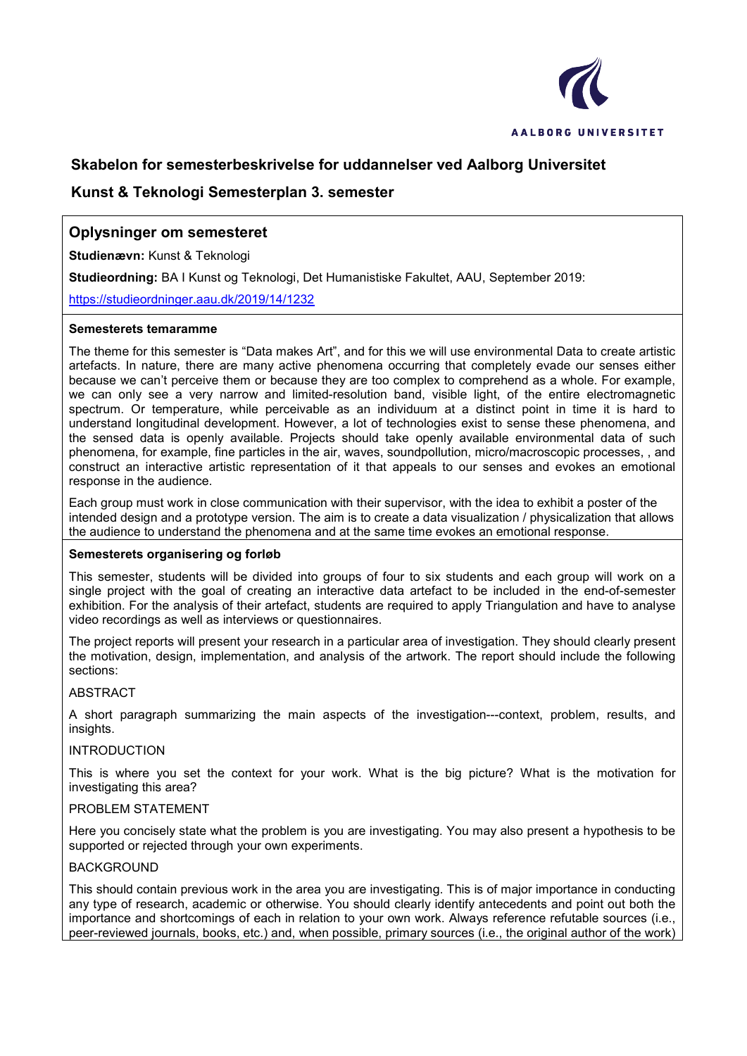

# **Skabelon for semesterbeskrivelse for uddannelser ved Aalborg Universitet**

# **Kunst & Teknologi Semesterplan 3. semester**

# **Oplysninger om semesteret**

**Studienævn:** Kunst & Teknologi

**Studieordning:** BA I Kunst og Teknologi, Det Humanistiske Fakultet, AAU, September 2019:

<https://studieordninger.aau.dk/2019/14/1232>

### **Semesterets temaramme**

The theme for this semester is "Data makes Art", and for this we will use environmental Data to create artistic artefacts. In nature, there are many active phenomena occurring that completely evade our senses either because we can't perceive them or because they are too complex to comprehend as a whole. For example, we can only see a very narrow and limited-resolution band, visible light, of the entire electromagnetic spectrum. Or temperature, while perceivable as an individuum at a distinct point in time it is hard to understand longitudinal development. However, a lot of technologies exist to sense these phenomena, and the sensed data is openly available. Projects should take openly available environmental data of such phenomena, for example, fine particles in the air, waves, soundpollution, micro/macroscopic processes, , and construct an interactive artistic representation of it that appeals to our senses and evokes an emotional response in the audience.

Each group must work in close communication with their supervisor, with the idea to exhibit a poster of the intended design and a prototype version. The aim is to create a data visualization / physicalization that allows the audience to understand the phenomena and at the same time evokes an emotional response.

### **Semesterets organisering og forløb**

This semester, students will be divided into groups of four to six students and each group will work on a single project with the goal of creating an interactive data artefact to be included in the end-of-semester exhibition. For the analysis of their artefact, students are required to apply Triangulation and have to analyse video recordings as well as interviews or questionnaires.

The project reports will present your research in a particular area of investigation. They should clearly present the motivation, design, implementation, and analysis of the artwork. The report should include the following sections:

### ABSTRACT

A short paragraph summarizing the main aspects of the investigation---context, problem, results, and insights.

#### INTRODUCTION

This is where you set the context for your work. What is the big picture? What is the motivation for investigating this area?

### PROBLEM STATEMENT

Here you concisely state what the problem is you are investigating. You may also present a hypothesis to be supported or rejected through your own experiments.

### **BACKGROUND**

This should contain previous work in the area you are investigating. This is of major importance in conducting any type of research, academic or otherwise. You should clearly identify antecedents and point out both the importance and shortcomings of each in relation to your own work. Always reference refutable sources (i.e., peer-reviewed journals, books, etc.) and, when possible, primary sources (i.e., the original author of the work)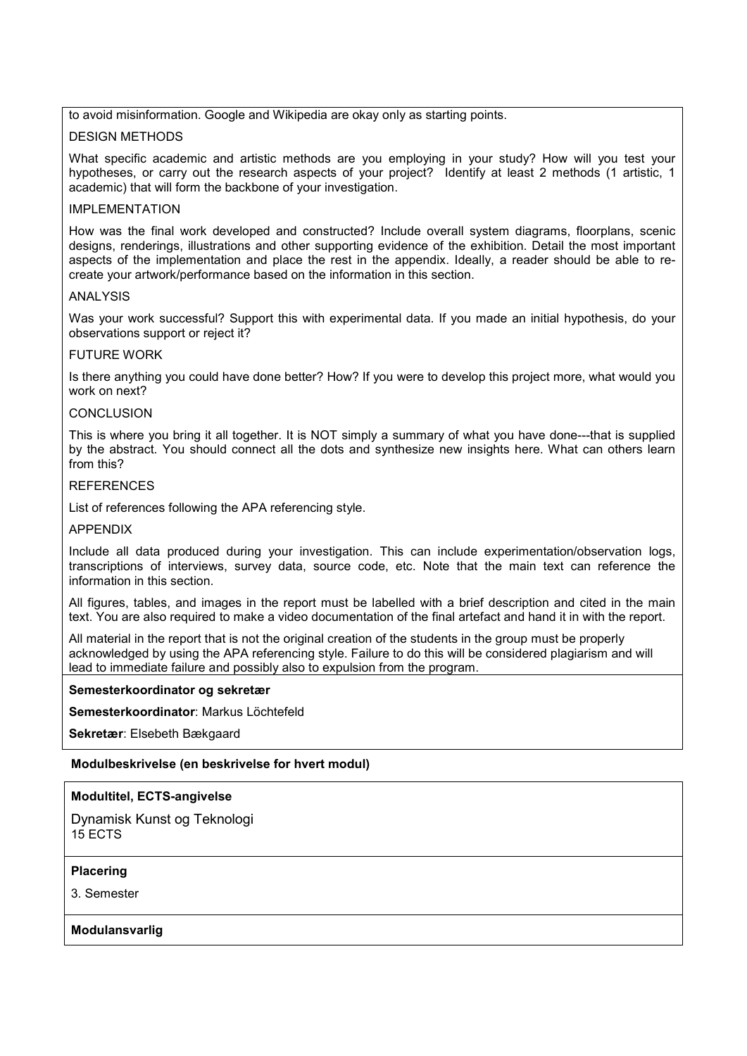to avoid misinformation. Google and Wikipedia are okay only as starting points.

### DESIGN METHODS

What specific academic and artistic methods are you employing in your study? How will you test your hypotheses, or carry out the research aspects of your project? Identify at least 2 methods (1 artistic, 1 academic) that will form the backbone of your investigation.

#### IMPLEMENTATION

How was the final work developed and constructed? Include overall system diagrams, floorplans, scenic designs, renderings, illustrations and other supporting evidence of the exhibition. Detail the most important aspects of the implementation and place the rest in the appendix. Ideally, a reader should be able to recreate your artwork/performance based on the information in this section.

#### ANALYSIS

Was your work successful? Support this with experimental data. If you made an initial hypothesis, do your observations support or reject it?

#### FUTURE WORK

Is there anything you could have done better? How? If you were to develop this project more, what would you work on next?

#### CONCLUSION

This is where you bring it all together. It is NOT simply a summary of what you have done---that is supplied by the abstract. You should connect all the dots and synthesize new insights here. What can others learn from this?

#### **REFERENCES**

List of references following the APA referencing style.

#### APPENDIX

Include all data produced during your investigation. This can include experimentation/observation logs, transcriptions of interviews, survey data, source code, etc. Note that the main text can reference the information in this section.

All figures, tables, and images in the report must be labelled with a brief description and cited in the main text. You are also required to make a video documentation of the final artefact and hand it in with the report.

All material in the report that is not the original creation of the students in the group must be properly acknowledged by using the APA referencing style. Failure to do this will be considered plagiarism and will lead to immediate failure and possibly also to expulsion from the program.

#### **Semesterkoordinator og sekretær**

**Semesterkoordinator**: Markus Löchtefeld

**Sekretær**: Elsebeth Bækgaard

### **Modulbeskrivelse (en beskrivelse for hvert modul)**

### **Modultitel, ECTS-angivelse**

Dynamisk Kunst og Teknologi 15 ECTS

### **Placering**

3. Semester

### **Modulansvarlig**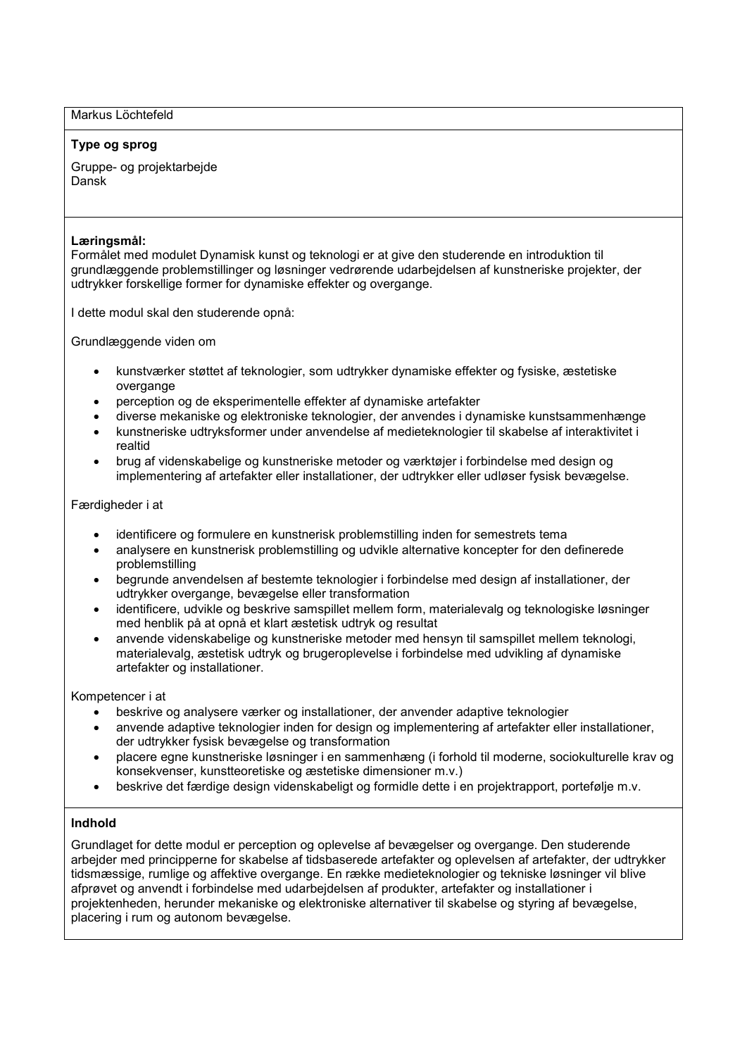Markus Löchtefeld

#### **Type og sprog**

Gruppe- og projektarbejde Dansk

#### **Læringsmål:**

Formålet med modulet Dynamisk kunst og teknologi er at give den studerende en introduktion til grundlæggende problemstillinger og løsninger vedrørende udarbejdelsen af kunstneriske projekter, der udtrykker forskellige former for dynamiske effekter og overgange.

I dette modul skal den studerende opnå:

Grundlæggende viden om

- kunstværker støttet af teknologier, som udtrykker dynamiske effekter og fysiske, æstetiske overgange
- perception og de eksperimentelle effekter af dynamiske artefakter
- diverse mekaniske og elektroniske teknologier, der anvendes i dynamiske kunstsammenhænge
- kunstneriske udtryksformer under anvendelse af medieteknologier til skabelse af interaktivitet i realtid
- brug af videnskabelige og kunstneriske metoder og værktøjer i forbindelse med design og implementering af artefakter eller installationer, der udtrykker eller udløser fysisk bevægelse.

Færdigheder i at

- identificere og formulere en kunstnerisk problemstilling inden for semestrets tema
- analysere en kunstnerisk problemstilling og udvikle alternative koncepter for den definerede problemstilling
- begrunde anvendelsen af bestemte teknologier i forbindelse med design af installationer, der udtrykker overgange, bevægelse eller transformation
- identificere, udvikle og beskrive samspillet mellem form, materialevalg og teknologiske løsninger med henblik på at opnå et klart æstetisk udtryk og resultat
- anvende videnskabelige og kunstneriske metoder med hensyn til samspillet mellem teknologi, materialevalg, æstetisk udtryk og brugeroplevelse i forbindelse med udvikling af dynamiske artefakter og installationer.

Kompetencer i at

- beskrive og analysere værker og installationer, der anvender adaptive teknologier
- anvende adaptive teknologier inden for design og implementering af artefakter eller installationer, der udtrykker fysisk bevægelse og transformation
- placere egne kunstneriske løsninger i en sammenhæng (i forhold til moderne, sociokulturelle krav og konsekvenser, kunstteoretiske og æstetiske dimensioner m.v.)
- beskrive det færdige design videnskabeligt og formidle dette i en projektrapport, portefølje m.v.

# **Indhold**

Grundlaget for dette modul er perception og oplevelse af bevægelser og overgange. Den studerende arbejder med principperne for skabelse af tidsbaserede artefakter og oplevelsen af artefakter, der udtrykker tidsmæssige, rumlige og affektive overgange. En række medieteknologier og tekniske løsninger vil blive afprøvet og anvendt i forbindelse med udarbejdelsen af produkter, artefakter og installationer i projektenheden, herunder mekaniske og elektroniske alternativer til skabelse og styring af bevægelse, placering i rum og autonom bevægelse.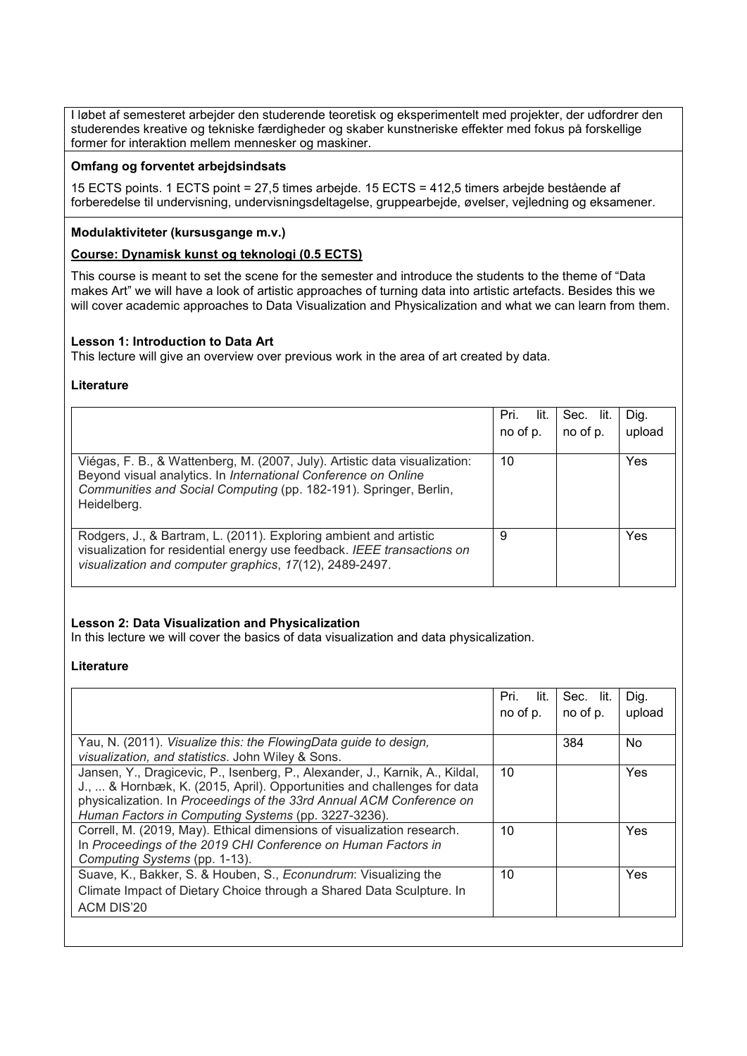I løbet af semesteret arbejder den studerende teoretisk og eksperimentelt med projekter, der udfordrer den studerendes kreative og tekniske færdigheder og skaber kunstneriske effekter med fokus på forskellige former for interaktion mellem mennesker og maskiner.

### **Omfang og forventet arbejdsindsats**

15 ECTS points. 1 ECTS point = 27,5 times arbejde. 15 ECTS = 412,5 timers arbejde bestående af forberedelse til undervisning, undervisningsdeltagelse, gruppearbejde, øvelser, vejledning og eksamener.

### **Modulaktiviteter (kursusgange m.v.)**

### **Course: Dynamisk kunst og teknologi (0.5 ECTS)**

This course is meant to set the scene for the semester and introduce the students to the theme of "Data makes Art" we will have a look of artistic approaches of turning data into artistic artefacts. Besides this we will cover academic approaches to Data Visualization and Physicalization and what we can learn from them.

#### **Lesson 1: Introduction to Data Art**

This lecture will give an overview over previous work in the area of art created by data.

#### **Literature**

|                                                                                                                                                                                                                                  | Pri.<br>lit.<br>no of p. | Sec.<br>lit.<br>no of p. | Dig.<br>upload |
|----------------------------------------------------------------------------------------------------------------------------------------------------------------------------------------------------------------------------------|--------------------------|--------------------------|----------------|
| Viégas, F. B., & Wattenberg, M. (2007, July). Artistic data visualization:<br>Beyond visual analytics. In International Conference on Online<br>Communities and Social Computing (pp. 182-191). Springer, Berlin,<br>Heidelberg. | 10                       |                          | Yes            |
| Rodgers, J., & Bartram, L. (2011). Exploring ambient and artistic<br>visualization for residential energy use feedback. IEEE transactions on<br>visualization and computer graphics, 17(12), 2489-2497.                          | 9                        |                          | Yes            |

### **Lesson 2: Data Visualization and Physicalization**

In this lecture we will cover the basics of data visualization and data physicalization.

|                                                                                                                                                                                                                                                                                        | Pri.<br>lit.    | Sec. lit. | Dig.      |
|----------------------------------------------------------------------------------------------------------------------------------------------------------------------------------------------------------------------------------------------------------------------------------------|-----------------|-----------|-----------|
|                                                                                                                                                                                                                                                                                        | no of p.        | no of p.  | upload    |
|                                                                                                                                                                                                                                                                                        |                 |           |           |
| Yau, N. (2011). Visualize this: the FlowingData guide to design,<br>visualization, and statistics. John Wiley & Sons.                                                                                                                                                                  |                 | 384       | <b>No</b> |
| Jansen, Y., Dragicevic, P., Isenberg, P., Alexander, J., Karnik, A., Kildal,<br>J.,  & Hornbæk, K. (2015, April). Opportunities and challenges for data<br>physicalization. In Proceedings of the 33rd Annual ACM Conference on<br>Human Factors in Computing Systems (pp. 3227-3236). | 10              |           | Yes       |
| Correll, M. (2019, May). Ethical dimensions of visualization research.<br>In Proceedings of the 2019 CHI Conference on Human Factors in<br>Computing Systems (pp. 1-13).                                                                                                               | 10 <sup>1</sup> |           | Yes       |
| Suave, K., Bakker, S. & Houben, S., Econundrum: Visualizing the<br>Climate Impact of Dietary Choice through a Shared Data Sculpture. In<br><b>ACM DIS'20</b>                                                                                                                           | 10 <sup>1</sup> |           | Yes       |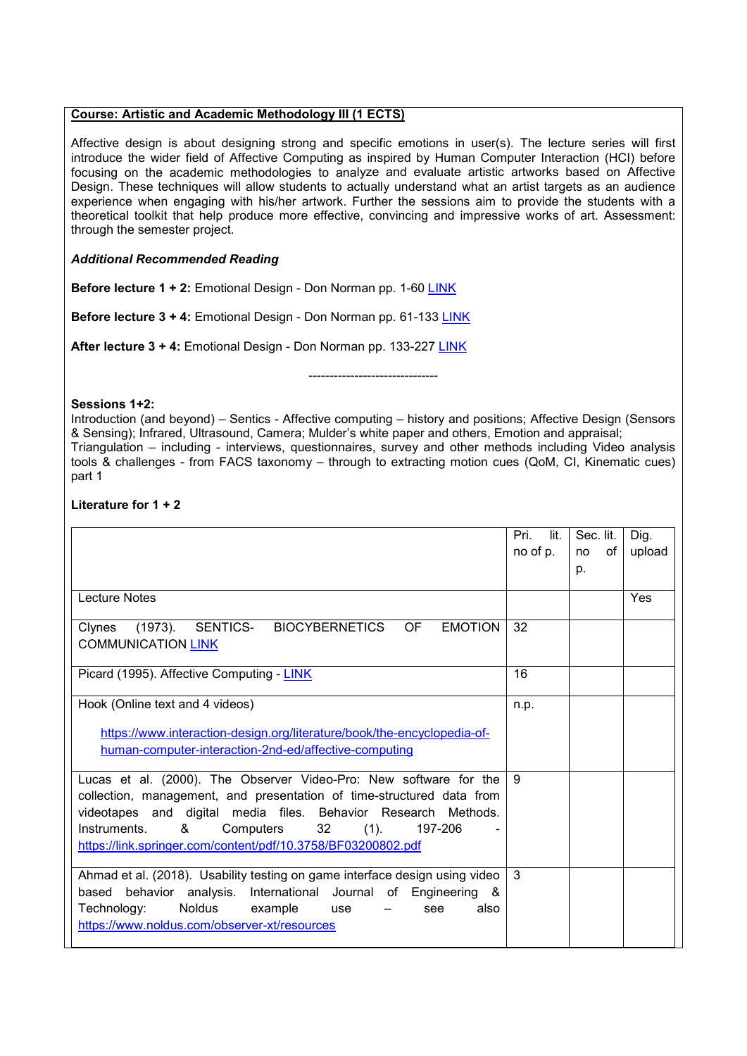### **Course: Artistic and Academic Methodology III (1 ECTS)**

Affective design is about designing strong and specific emotions in user(s). The lecture series will first introduce the wider field of Affective Computing as inspired by Human Computer Interaction (HCI) before focusing on the academic methodologies to analyze and evaluate artistic artworks based on Affective Design. These techniques will allow students to actually understand what an artist targets as an audience experience when engaging with his/her artwork. Further the sessions aim to provide the students with a theoretical toolkit that help produce more effective, convincing and impressive works of art. Assessment: through the semester project.

#### *Additional Recommended Reading*

**Before lecture 1 + 2:** Emotional Design - Don Norman pp. 1-60 [LINK](https://motamem.org/upload/Emotional-Design-Why-We-Love-or-Hate-Everyday-Things-Donald-Norman.pdf)

**Before lecture 3 + 4:** Emotional Design - Don Norman pp. 61-133 [LINK](https://motamem.org/upload/Emotional-Design-Why-We-Love-or-Hate-Everyday-Things-Donald-Norman.pdf)

**After lecture 3 + 4:** Emotional Design - Don Norman pp. 133-227 [LINK](https://motamem.org/upload/Emotional-Design-Why-We-Love-or-Hate-Everyday-Things-Donald-Norman.pdf)

-------------------------------

#### **Sessions 1+2:**

Introduction (and beyond) – Sentics - Affective computing – history and positions; Affective Design (Sensors & Sensing); Infrared, Ultrasound, Camera; Mulder's white paper and others, Emotion and appraisal; Triangulation – including - interviews, questionnaires, survey and other methods including Video analysis tools & challenges - from FACS taxonomy – through to extracting motion cues (QoM, CI, Kinematic cues) part 1

### **Literature for 1 + 2**

|                                                                             | Pri.<br>lit.  |            |        |
|-----------------------------------------------------------------------------|---------------|------------|--------|
|                                                                             |               | Sec. lit.  | Dig.   |
|                                                                             | no of p.      | of l<br>no | upload |
|                                                                             |               | p.         |        |
|                                                                             |               |            |        |
| Lecture Notes                                                               |               |            | Yes    |
|                                                                             |               |            |        |
| SENTICS- BIOCYBERNETICS<br>(1973).<br>OF<br><b>EMOTION</b><br>Clynes        | 32            |            |        |
| <b>COMMUNICATION LINK</b>                                                   |               |            |        |
|                                                                             |               |            |        |
| Picard (1995). Affective Computing - LINK                                   | 16            |            |        |
|                                                                             |               |            |        |
| Hook (Online text and 4 videos)                                             | n.p.          |            |        |
|                                                                             |               |            |        |
| https://www.interaction-design.org/literature/book/the-encyclopedia-of-     |               |            |        |
| human-computer-interaction-2nd-ed/affective-computing                       |               |            |        |
|                                                                             |               |            |        |
| Lucas et al. (2000). The Observer Video-Pro: New software for the           | -9            |            |        |
|                                                                             |               |            |        |
| collection, management, and presentation of time-structured data from       |               |            |        |
| videotapes and digital media files. Behavior Research Methods.              |               |            |        |
| Instruments.<br>&<br>Computers 32<br>$(1)$ .<br>197-206                     |               |            |        |
| https://link.springer.com/content/pdf/10.3758/BF03200802.pdf                |               |            |        |
|                                                                             |               |            |        |
| Ahmad et al. (2018). Usability testing on game interface design using video | $\mathcal{B}$ |            |        |
| based behavior analysis. International Journal of Engineering &             |               |            |        |
| Noldus<br>Technology:<br>example<br>also<br>use<br>see                      |               |            |        |
|                                                                             |               |            |        |
| https://www.noldus.com/observer-xt/resources                                |               |            |        |
|                                                                             |               |            |        |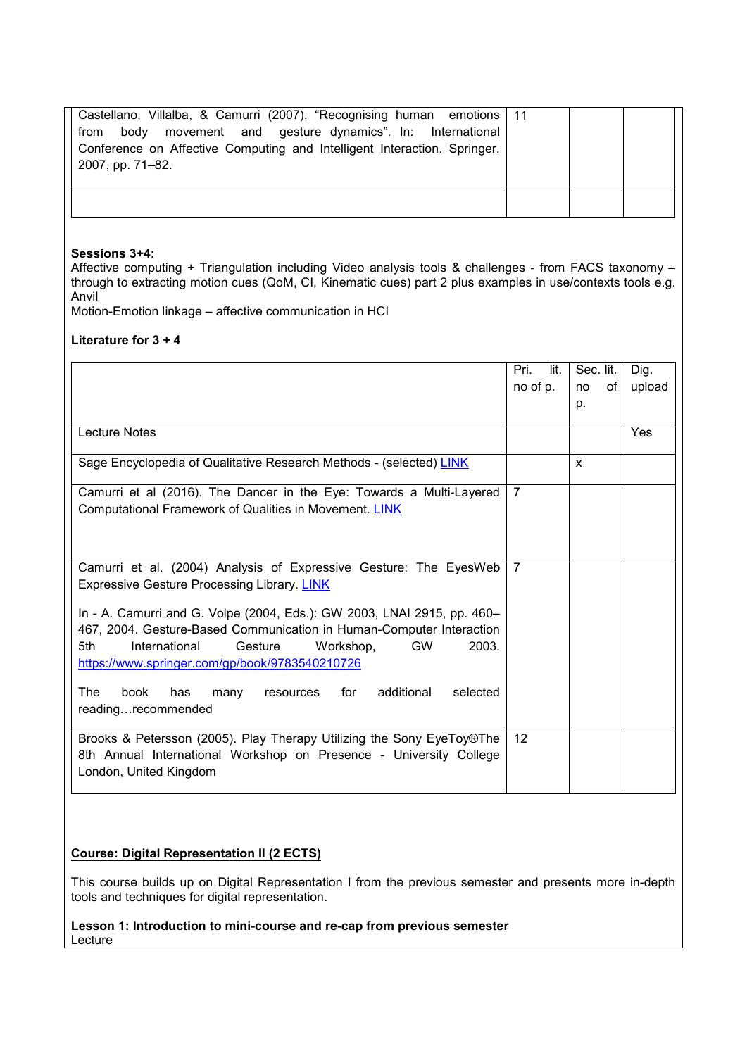| Castellano, Villalba, & Camurri (2007). "Recognising human emotions   11<br>body movement and gesture dynamics". In: International<br>from<br>Conference on Affective Computing and Intelligent Interaction. Springer.<br>2007, pp. 71-82. |  |  |
|--------------------------------------------------------------------------------------------------------------------------------------------------------------------------------------------------------------------------------------------|--|--|
|                                                                                                                                                                                                                                            |  |  |

#### **Sessions 3+4:**

Affective computing + Triangulation including Video analysis tools & challenges - from FACS taxonomy – through to extracting motion cues (QoM, CI, Kinematic cues) part 2 plus examples in use/contexts tools e.g. Anvil

Motion-Emotion linkage – affective communication in HCI

### **Literature for 3 + 4**

|                                                                                             | Pri.<br>lit.   | Sec. lit. |    | Dig.   |
|---------------------------------------------------------------------------------------------|----------------|-----------|----|--------|
|                                                                                             | no of p.       | no        | of | upload |
|                                                                                             |                | p.        |    |        |
| <b>Lecture Notes</b>                                                                        |                |           |    | Yes    |
| Sage Encyclopedia of Qualitative Research Methods - (selected) LINK                         |                | X         |    |        |
| Camurri et al (2016). The Dancer in the Eye: Towards a Multi-Layered                        | $\overline{7}$ |           |    |        |
| Computational Framework of Qualities in Movement. LINK                                      |                |           |    |        |
|                                                                                             |                |           |    |        |
|                                                                                             |                |           |    |        |
| Camurri et al. (2004) Analysis of Expressive Gesture: The EyesWeb                           | $\overline{7}$ |           |    |        |
| <b>Expressive Gesture Processing Library. LINK</b>                                          |                |           |    |        |
| In - A. Camurri and G. Volpe (2004, Eds.): GW 2003, LNAI 2915, pp. 460-                     |                |           |    |        |
| 467, 2004. Gesture-Based Communication in Human-Computer Interaction                        |                |           |    |        |
| 2003.<br>5th<br>International<br>Gesture<br><b>GW</b><br>Workshop.                          |                |           |    |        |
| https://www.springer.com/gp/book/9783540210726                                              |                |           |    |        |
| additional<br>The<br>book<br>resources for<br>selected<br>has<br>many<br>readingrecommended |                |           |    |        |
| Brooks & Petersson (2005). Play Therapy Utilizing the Sony EyeToy®The                       | 12             |           |    |        |
| 8th Annual International Workshop on Presence - University College                          |                |           |    |        |
| London, United Kingdom                                                                      |                |           |    |        |
|                                                                                             |                |           |    |        |

### **Course: Digital Representation II (2 ECTS)**

This course builds up on Digital Representation I from the previous semester and presents more in-depth tools and techniques for digital representation.

**Lesson 1: Introduction to mini-course and re-cap from previous semester** Lecture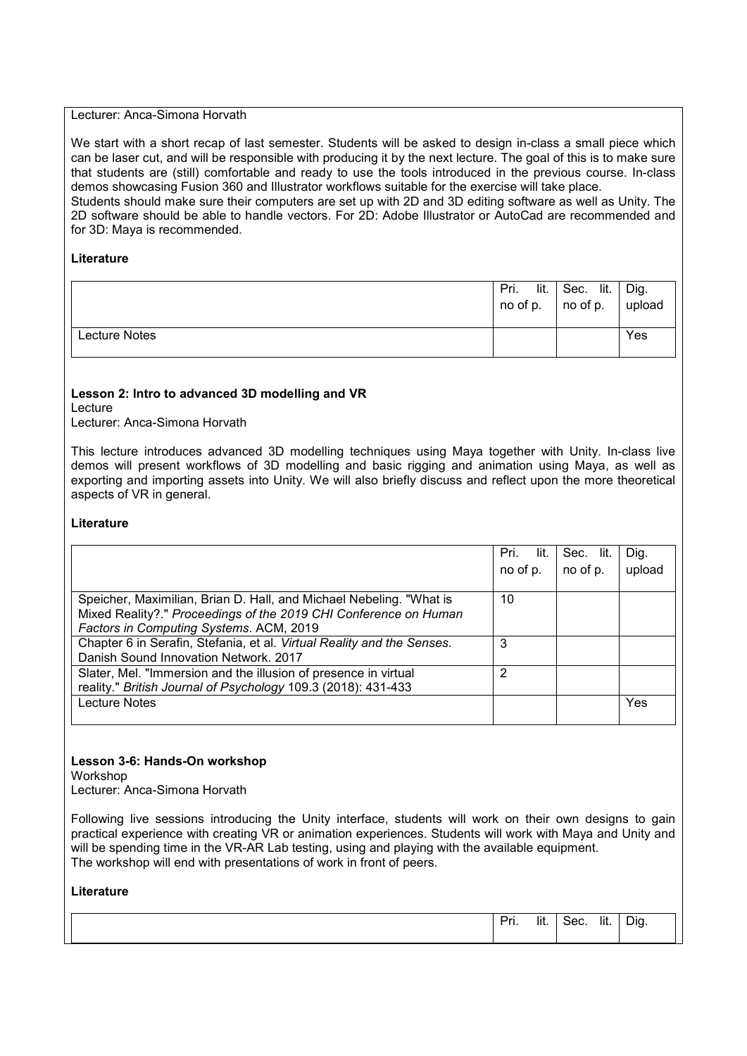#### Lecturer: Anca-Simona Horvath

We start with a short recap of last semester. Students will be asked to design in-class a small piece which can be laser cut, and will be responsible with producing it by the next lecture. The goal of this is to make sure that students are (still) comfortable and ready to use the tools introduced in the previous course. In-class demos showcasing Fusion 360 and Illustrator workflows suitable for the exercise will take place. Students should make sure their computers are set up with 2D and 3D editing software as well as Unity. The 2D software should be able to handle vectors. For 2D: Adobe Illustrator or AutoCad are recommended and for 3D: Maya is recommended.

#### **Literature**

|               | lit.<br>Pri. | Sec. lit.<br>$\vert$ no of p. $\vert$ no of p. $\vert$ upload | Dig. |
|---------------|--------------|---------------------------------------------------------------|------|
| Lecture Notes |              |                                                               | Yes  |

#### **Lesson 2: Intro to advanced 3D modelling and VR**

Lecture

Lecturer: Anca-Simona Horvath

This lecture introduces advanced 3D modelling techniques using Maya together with Unity. In-class live demos will present workflows of 3D modelling and basic rigging and animation using Maya, as well as exporting and importing assets into Unity. We will also briefly discuss and reflect upon the more theoretical aspects of VR in general.

#### **Literature**

|                                                                        | Pri.<br>lit. | Sec. lit. | Dig.   |
|------------------------------------------------------------------------|--------------|-----------|--------|
|                                                                        | no of p.     | no of p.  | upload |
|                                                                        |              |           |        |
| Speicher, Maximilian, Brian D. Hall, and Michael Nebeling. "What is    | 10           |           |        |
| Mixed Reality?." Proceedings of the 2019 CHI Conference on Human       |              |           |        |
| Factors in Computing Systems. ACM, 2019                                |              |           |        |
| Chapter 6 in Serafin, Stefania, et al. Virtual Reality and the Senses. | 3            |           |        |
| Danish Sound Innovation Network, 2017                                  |              |           |        |
| Slater, Mel. "Immersion and the illusion of presence in virtual        | 2            |           |        |
| reality." British Journal of Psychology 109.3 (2018): 431-433          |              |           |        |
| <b>Lecture Notes</b>                                                   |              |           | Yes    |
|                                                                        |              |           |        |

#### **Lesson 3-6: Hands-On workshop**

Workshop

Lecturer: Anca-Simona Horvath

Following live sessions introducing the Unity interface, students will work on their own designs to gain practical experience with creating VR or animation experiences. Students will work with Maya and Unity and will be spending time in the VR-AR Lab testing, using and playing with the available equipment. The workshop will end with presentations of work in front of peers.

| Dr.<br>. .<br>ш. | $\cdots$<br>lit. | -<br>oec. | lit. | Dig.<br>ັ |  |
|------------------|------------------|-----------|------|-----------|--|
|                  |                  |           |      |           |  |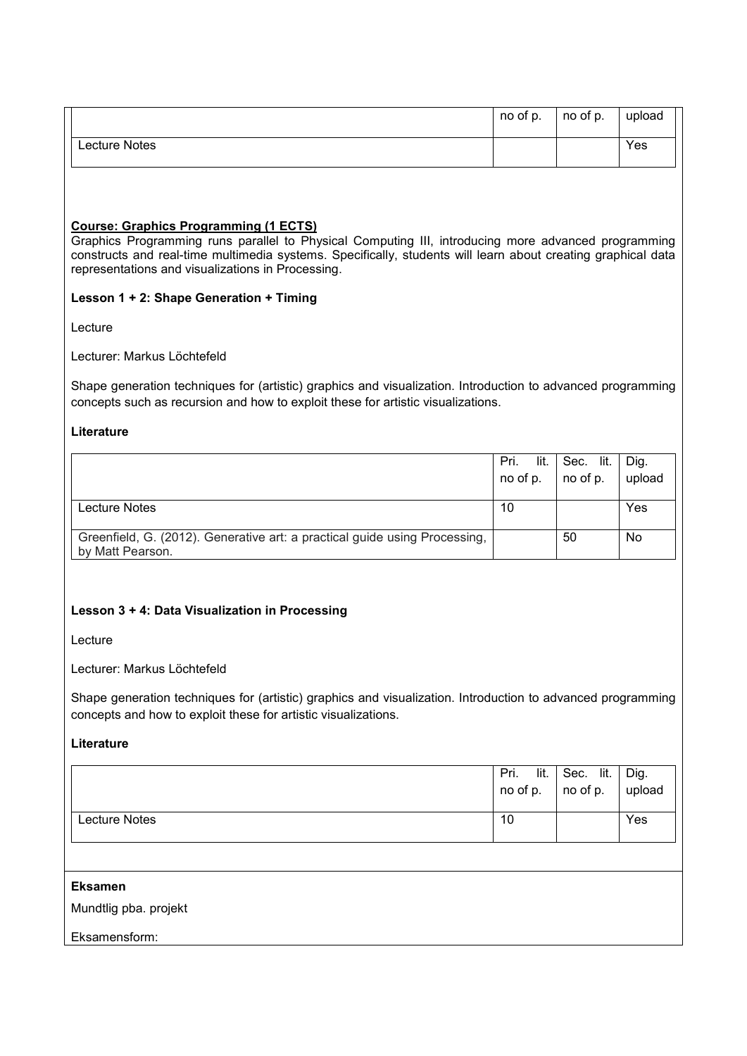|               | no of p. | no of p. | upload |
|---------------|----------|----------|--------|
| Lecture Notes |          |          | Yes    |

### **Course: Graphics Programming (1 ECTS)**

Graphics Programming runs parallel to Physical Computing III, introducing more advanced programming constructs and real-time multimedia systems. Specifically, students will learn about creating graphical data representations and visualizations in Processing.

#### **Lesson 1 + 2: Shape Generation + Timing**

Lecture

### Lecturer: Markus Löchtefeld

Shape generation techniques for (artistic) graphics and visualization. Introduction to advanced programming concepts such as recursion and how to exploit these for artistic visualizations.

#### **Literature**

|                                                                            | Pri.<br>lit. | Sec. lit. | Dig.   |
|----------------------------------------------------------------------------|--------------|-----------|--------|
|                                                                            | no of p.     | no of p.  | upload |
|                                                                            |              |           |        |
| Lecture Notes                                                              | 10           |           | Yes    |
|                                                                            |              |           |        |
| Greenfield, G. (2012). Generative art: a practical guide using Processing, |              | 50        | No     |
| by Matt Pearson.                                                           |              |           |        |

### **Lesson 3 + 4: Data Visualization in Processing**

Lecture

Lecturer: Markus Löchtefeld

Shape generation techniques for (artistic) graphics and visualization. Introduction to advanced programming concepts and how to exploit these for artistic visualizations.

## **Literature**

|               | lit.<br>Pri.<br>no of p. $\vert$ no of p. | Sec. lit. | Dig.<br>upload |
|---------------|-------------------------------------------|-----------|----------------|
| Lecture Notes | 10                                        |           | Yes            |

#### **Eksamen**

Mundtlig pba. projekt

Eksamensform: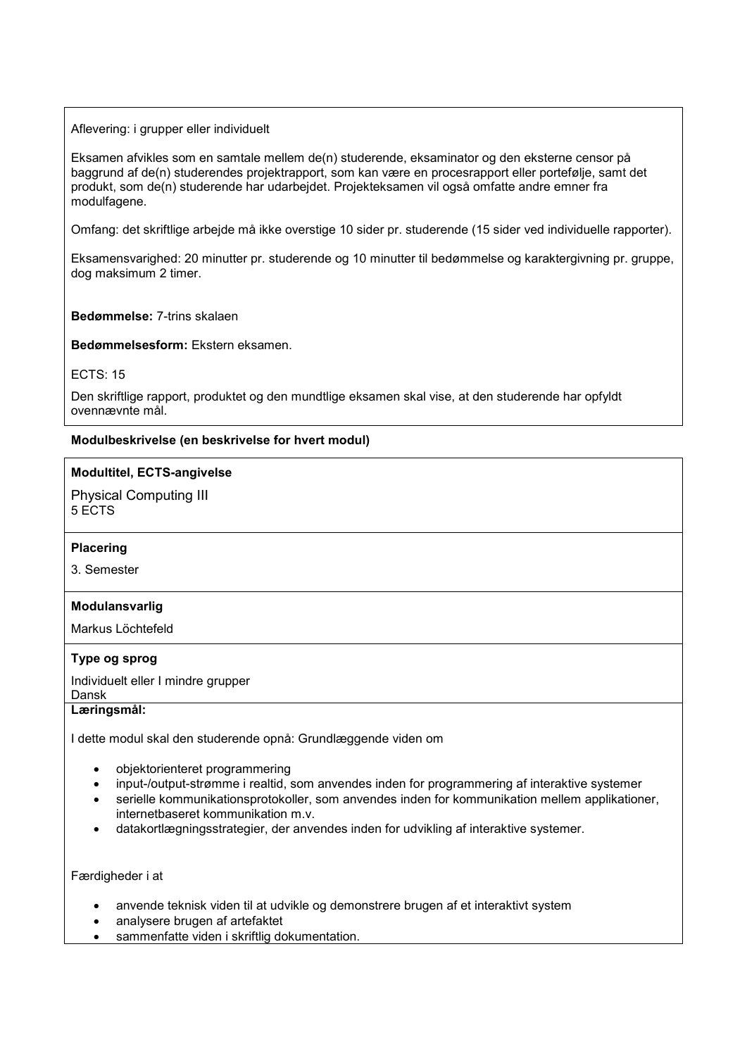Aflevering: i grupper eller individuelt

Eksamen afvikles som en samtale mellem de(n) studerende, eksaminator og den eksterne censor på baggrund af de(n) studerendes projektrapport, som kan være en procesrapport eller portefølje, samt det produkt, som de(n) studerende har udarbejdet. Projekteksamen vil også omfatte andre emner fra modulfagene.

Omfang: det skriftlige arbejde må ikke overstige 10 sider pr. studerende (15 sider ved individuelle rapporter).

Eksamensvarighed: 20 minutter pr. studerende og 10 minutter til bedømmelse og karaktergivning pr. gruppe, dog maksimum 2 timer.

#### **Bedømmelse:** 7-trins skalaen

**Bedømmelsesform:** Ekstern eksamen.

ECTS: 15

Den skriftlige rapport, produktet og den mundtlige eksamen skal vise, at den studerende har opfyldt ovennævnte mål.

### **Modulbeskrivelse (en beskrivelse for hvert modul)**

#### **Modultitel, ECTS-angivelse**

Physical Computing III 5 ECTS

### **Placering**

3. Semester

### **Modulansvarlig**

Markus Löchtefeld

# **Type og sprog**

Individuelt eller I mindre grupper Dansk

#### **Læringsmål:**

I dette modul skal den studerende opnå: Grundlæggende viden om

- objektorienteret programmering
- input-/output-strømme i realtid, som anvendes inden for programmering af interaktive systemer
- serielle kommunikationsprotokoller, som anvendes inden for kommunikation mellem applikationer, internetbaseret kommunikation m.v.
- datakortlægningsstrategier, der anvendes inden for udvikling af interaktive systemer.

Færdigheder i at

- anvende teknisk viden til at udvikle og demonstrere brugen af et interaktivt system
- analysere brugen af artefaktet
- sammenfatte viden i skriftlig dokumentation.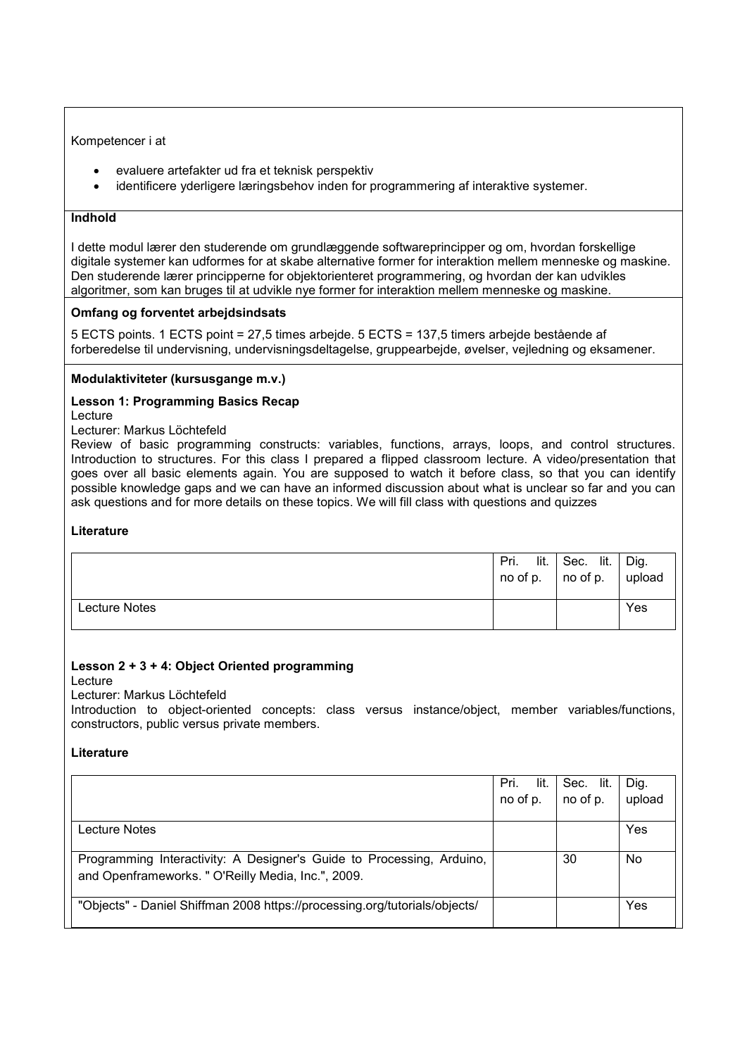Kompetencer i at

- evaluere artefakter ud fra et teknisk perspektiv
- identificere yderligere læringsbehov inden for programmering af interaktive systemer.

### **Indhold**

I dette modul lærer den studerende om grundlæggende softwareprincipper og om, hvordan forskellige digitale systemer kan udformes for at skabe alternative former for interaktion mellem menneske og maskine. Den studerende lærer principperne for objektorienteret programmering, og hvordan der kan udvikles algoritmer, som kan bruges til at udvikle nye former for interaktion mellem menneske og maskine.

## **Omfang og forventet arbejdsindsats**

5 ECTS points. 1 ECTS point = 27,5 times arbejde. 5 ECTS = 137,5 timers arbejde bestående af forberedelse til undervisning, undervisningsdeltagelse, gruppearbejde, øvelser, vejledning og eksamener.

## **Modulaktiviteter (kursusgange m.v.)**

## **Lesson 1: Programming Basics Recap**

Lecture

Lecturer: Markus Löchtefeld

Review of basic programming constructs: variables, functions, arrays, loops, and control structures. Introduction to structures. For this class I prepared a flipped classroom lecture. A video/presentation that goes over all basic elements again. You are supposed to watch it before class, so that you can identify possible knowledge gaps and we can have an informed discussion about what is unclear so far and you can ask questions and for more details on these topics. We will fill class with questions and quizzes

### **Literature**

|               | Pri.<br>$\ln 0$ of p. $\ln 0$ of p. $\ln 1$ upload | lit. Sec. lit. | Dig. |
|---------------|----------------------------------------------------|----------------|------|
| Lecture Notes |                                                    |                | Yes  |

# **Lesson 2 + 3 + 4: Object Oriented programming**

Lecture

Lecturer: Markus Löchtefeld

Introduction to object-oriented concepts: class versus instance/object, member variables/functions, constructors, public versus private members.

|                                                                            | lit.<br>Pri. | Sec. lit. | Dig.   |
|----------------------------------------------------------------------------|--------------|-----------|--------|
|                                                                            | no of p.     | no of p.  | upload |
|                                                                            |              |           |        |
| Lecture Notes                                                              |              |           | Yes    |
|                                                                            |              |           |        |
| Programming Interactivity: A Designer's Guide to Processing, Arduino,      |              | 30        | No     |
| and Openframeworks. " O'Reilly Media, Inc.", 2009.                         |              |           |        |
|                                                                            |              |           |        |
| "Objects" - Daniel Shiffman 2008 https://processing.org/tutorials/objects/ |              |           | Yes    |
|                                                                            |              |           |        |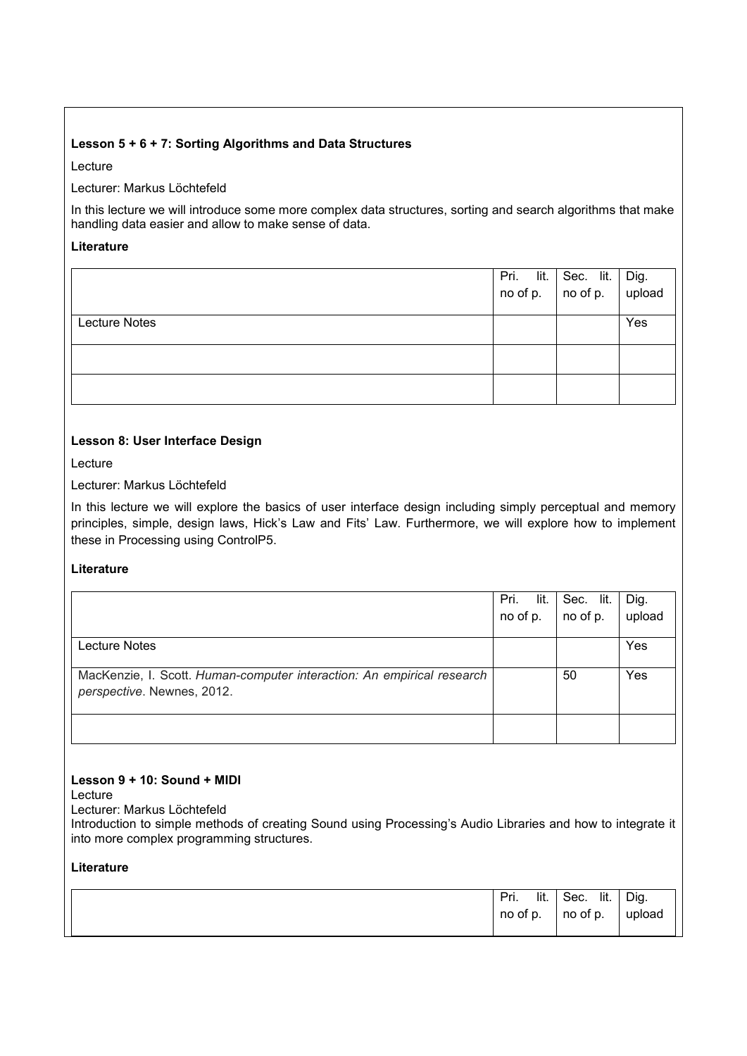# **Lesson 5 + 6 + 7: Sorting Algorithms and Data Structures**

Lecture

Lecturer: Markus Löchtefeld

In this lecture we will introduce some more complex data structures, sorting and search algorithms that make handling data easier and allow to make sense of data.

# **Literature**

|                      | Pri. lit. Sec. lit. Dig.<br>no of p. no of p. upload |     |
|----------------------|------------------------------------------------------|-----|
| <b>Lecture Notes</b> |                                                      | Yes |
|                      |                                                      |     |
|                      |                                                      |     |

## **Lesson 8: User Interface Design**

Lecture

Lecturer: Markus Löchtefeld

In this lecture we will explore the basics of user interface design including simply perceptual and memory principles, simple, design laws, Hick's Law and Fits' Law. Furthermore, we will explore how to implement these in Processing using ControlP5.

# **Literature**

|                                                                        | Pri.<br>lit. | Sec. lit. | Dig.   |
|------------------------------------------------------------------------|--------------|-----------|--------|
|                                                                        | no of p.     | no of p.  | upload |
|                                                                        |              |           |        |
| Lecture Notes                                                          |              |           | Yes    |
|                                                                        |              |           |        |
| MacKenzie, I. Scott. Human-computer interaction: An empirical research |              | 50        | Yes    |
| perspective. Newnes, 2012.                                             |              |           |        |
|                                                                        |              |           |        |
|                                                                        |              |           |        |
|                                                                        |              |           |        |

### **Lesson 9 + 10: Sound + MIDI**

Lecture

Lecturer: Markus Löchtefeld

Introduction to simple methods of creating Sound using Processing's Audio Libraries and how to integrate it into more complex programming structures.

| lit.<br>Pri.<br>no of p. | lit.<br>Sec.<br>$\overline{\phantom{a}}$ no of p. | Dig.<br>upload |
|--------------------------|---------------------------------------------------|----------------|
|                          |                                                   |                |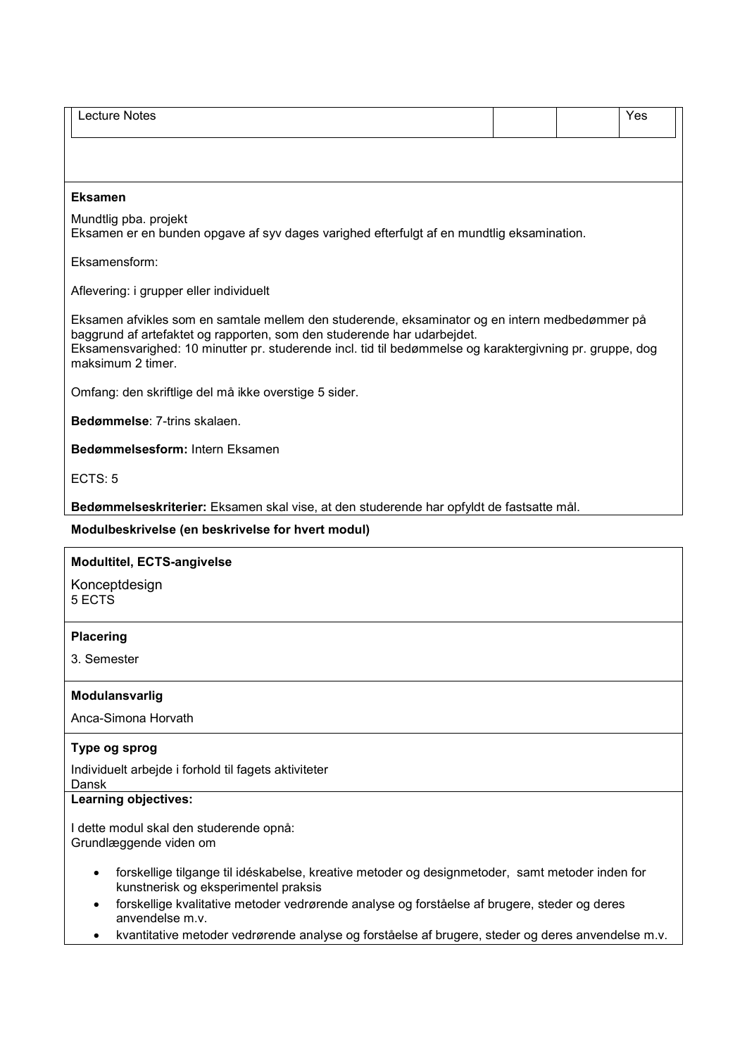| <b>Lecture Notes</b>                                                                                                                                                                                                                                                                                       |  | Yes |
|------------------------------------------------------------------------------------------------------------------------------------------------------------------------------------------------------------------------------------------------------------------------------------------------------------|--|-----|
|                                                                                                                                                                                                                                                                                                            |  |     |
|                                                                                                                                                                                                                                                                                                            |  |     |
| <b>Eksamen</b>                                                                                                                                                                                                                                                                                             |  |     |
| Mundtlig pba. projekt<br>Eksamen er en bunden opgave af syv dages varighed efterfulgt af en mundtlig eksamination.                                                                                                                                                                                         |  |     |
| Eksamensform:                                                                                                                                                                                                                                                                                              |  |     |
| Aflevering: i grupper eller individuelt                                                                                                                                                                                                                                                                    |  |     |
| Eksamen afvikles som en samtale mellem den studerende, eksaminator og en intern medbedømmer på<br>baggrund af artefaktet og rapporten, som den studerende har udarbejdet.<br>Eksamensvarighed: 10 minutter pr. studerende incl. tid til bedømmelse og karaktergivning pr. gruppe, dog<br>maksimum 2 timer. |  |     |
| Omfang: den skriftlige del må ikke overstige 5 sider.                                                                                                                                                                                                                                                      |  |     |
| Bedømmelse: 7-trins skalaen.                                                                                                                                                                                                                                                                               |  |     |
| Bedømmelsesform: Intern Eksamen                                                                                                                                                                                                                                                                            |  |     |
| ECTS: 5                                                                                                                                                                                                                                                                                                    |  |     |
| Bedømmelseskriterier: Eksamen skal vise, at den studerende har opfyldt de fastsatte mål.                                                                                                                                                                                                                   |  |     |
| Modulbeskrivelse (en beskrivelse for hvert modul)                                                                                                                                                                                                                                                          |  |     |
| <b>Modultitel, ECTS-angivelse</b>                                                                                                                                                                                                                                                                          |  |     |
| Konceptdesign<br>5 ECTS                                                                                                                                                                                                                                                                                    |  |     |
| <b>Placering</b>                                                                                                                                                                                                                                                                                           |  |     |
| 3. Semester                                                                                                                                                                                                                                                                                                |  |     |
| Modulansvarlig                                                                                                                                                                                                                                                                                             |  |     |
| Anca-Simona Horvath                                                                                                                                                                                                                                                                                        |  |     |
| Type og sprog                                                                                                                                                                                                                                                                                              |  |     |
| Individuelt arbejde i forhold til fagets aktiviteter<br>Dansk                                                                                                                                                                                                                                              |  |     |
| <b>Learning objectives:</b>                                                                                                                                                                                                                                                                                |  |     |
| I dette modul skal den studerende opnå:<br>Grundlæggende viden om                                                                                                                                                                                                                                          |  |     |
| forskellige tilgange til idéskabelse, kreative metoder og designmetoder, samt metoder inden for<br>kunstnerisk og eksperimentel praksis                                                                                                                                                                    |  |     |

- forskellige kvalitative metoder vedrørende analyse og forståelse af brugere, steder og deres anvendelse m.v.
- kvantitative metoder vedrørende analyse og forståelse af brugere, steder og deres anvendelse m.v.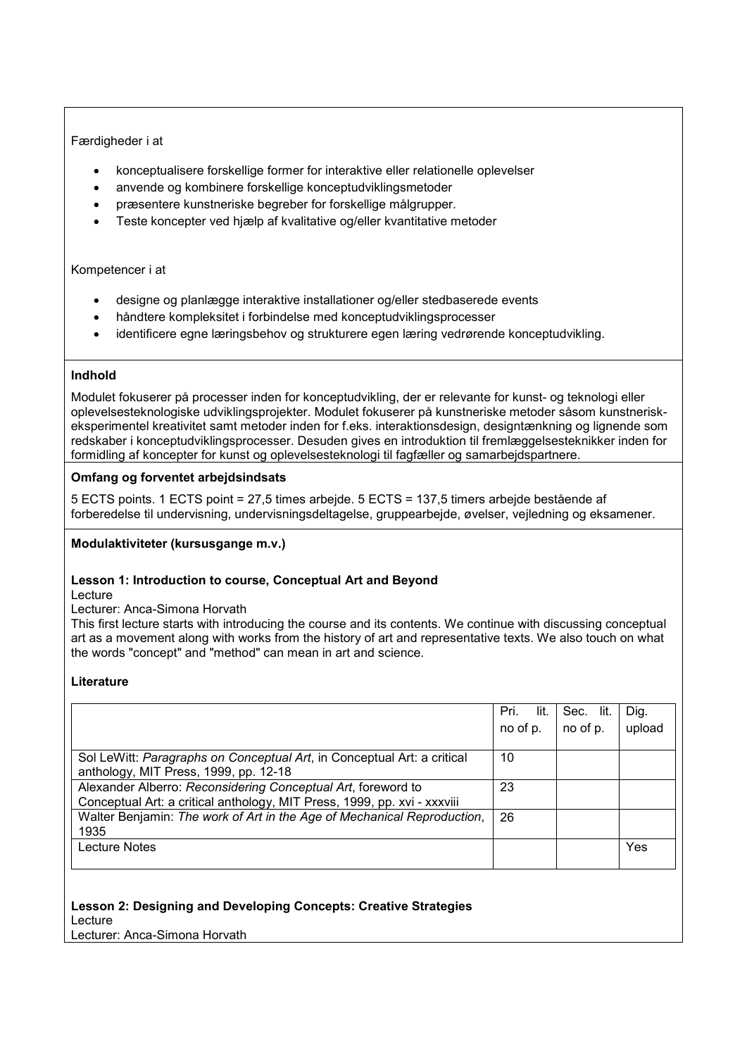## Færdigheder i at

- konceptualisere forskellige former for interaktive eller relationelle oplevelser
- anvende og kombinere forskellige konceptudviklingsmetoder
- præsentere kunstneriske begreber for forskellige målgrupper.
- Teste koncepter ved hjælp af kvalitative og/eller kvantitative metoder

### Kompetencer i at

- designe og planlægge interaktive installationer og/eller stedbaserede events
- håndtere kompleksitet i forbindelse med konceptudviklingsprocesser
- identificere egne læringsbehov og strukturere egen læring vedrørende konceptudvikling.

### **Indhold**

Modulet fokuserer på processer inden for konceptudvikling, der er relevante for kunst- og teknologi eller oplevelsesteknologiske udviklingsprojekter. Modulet fokuserer på kunstneriske metoder såsom kunstneriskeksperimentel kreativitet samt metoder inden for f.eks. interaktionsdesign, designtænkning og lignende som redskaber i konceptudviklingsprocesser. Desuden gives en introduktion til fremlæggelsesteknikker inden for formidling af koncepter for kunst og oplevelsesteknologi til fagfæller og samarbejdspartnere.

### **Omfang og forventet arbejdsindsats**

5 ECTS points. 1 ECTS point = 27,5 times arbejde. 5 ECTS = 137,5 timers arbejde bestående af forberedelse til undervisning, undervisningsdeltagelse, gruppearbejde, øvelser, vejledning og eksamener.

### **Modulaktiviteter (kursusgange m.v.)**

### **Lesson 1: Introduction to course, Conceptual Art and Beyond**

Lecture

Lecturer: Anca-Simona Horvath

This first lecture starts with introducing the course and its contents. We continue with discussing conceptual art as a movement along with works from the history of art and representative texts. We also touch on what the words "concept" and "method" can mean in art and science.

### **Literature**

|                                                                          | Pri.<br>lit. | Sec. lit. | Dig.   |
|--------------------------------------------------------------------------|--------------|-----------|--------|
|                                                                          | no of p.     | no of p.  | upload |
|                                                                          |              |           |        |
| Sol LeWitt: Paragraphs on Conceptual Art, in Conceptual Art: a critical  | 10           |           |        |
| anthology, MIT Press, 1999, pp. 12-18                                    |              |           |        |
| Alexander Alberro: Reconsidering Conceptual Art, foreword to             | 23           |           |        |
| Conceptual Art: a critical anthology, MIT Press, 1999, pp. xvi - xxxviii |              |           |        |
| Walter Benjamin: The work of Art in the Age of Mechanical Reproduction,  | 26           |           |        |
| 1935                                                                     |              |           |        |
| <b>Lecture Notes</b>                                                     |              |           | Yes    |
|                                                                          |              |           |        |

### **Lesson 2: Designing and Developing Concepts: Creative Strategies**

Lecture

Lecturer: Anca-Simona Horvath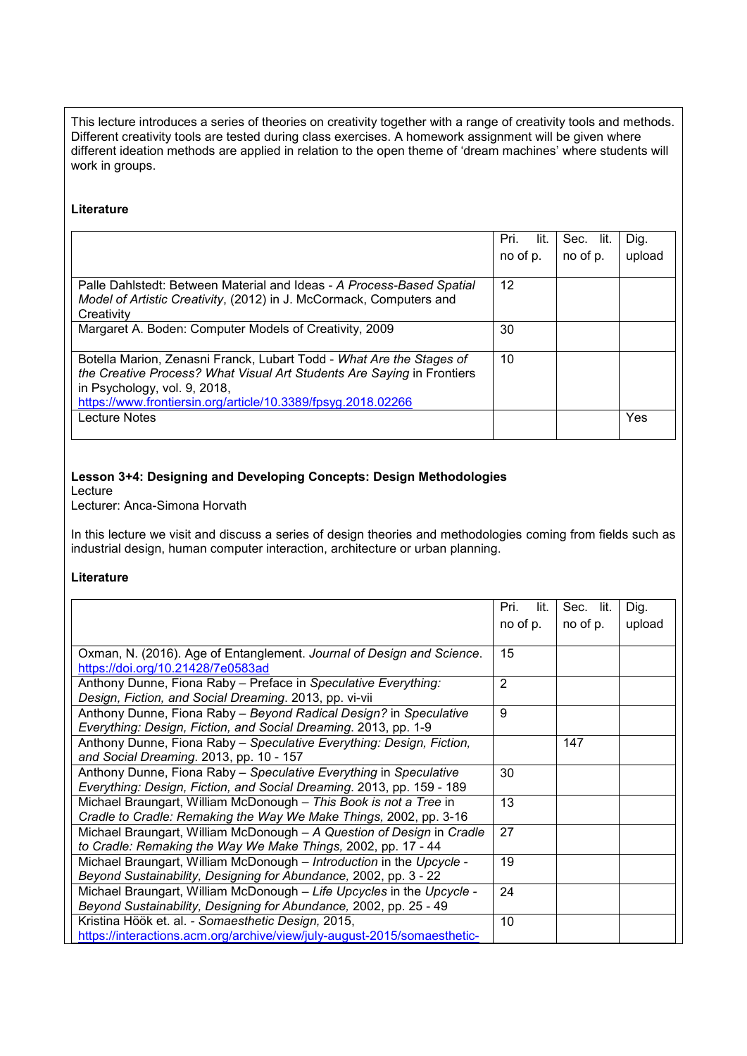This lecture introduces a series of theories on creativity together with a range of creativity tools and methods. Different creativity tools are tested during class exercises. A homework assignment will be given where different ideation methods are applied in relation to the open theme of 'dream machines' where students will work in groups.

#### **Literature**

|                                                                                                                                                                                                                                                | Pri.<br>lit. | Sec.<br>lit. | Dig.   |
|------------------------------------------------------------------------------------------------------------------------------------------------------------------------------------------------------------------------------------------------|--------------|--------------|--------|
|                                                                                                                                                                                                                                                | no of p.     | no of p.     | upload |
|                                                                                                                                                                                                                                                |              |              |        |
| Palle Dahlstedt: Between Material and Ideas - A Process-Based Spatial<br>Model of Artistic Creativity, (2012) in J. McCormack, Computers and<br>Creativity                                                                                     | 12           |              |        |
| Margaret A. Boden: Computer Models of Creativity, 2009                                                                                                                                                                                         | 30           |              |        |
| Botella Marion, Zenasni Franck, Lubart Todd - What Are the Stages of<br>the Creative Process? What Visual Art Students Are Saying in Frontiers<br>in Psychology, vol. 9, 2018,<br>https://www.frontiersin.org/article/10.3389/fpsyg.2018.02266 | 10           |              |        |
| <b>Lecture Notes</b>                                                                                                                                                                                                                           |              |              | Yes    |

### **Lesson 3+4: Designing and Developing Concepts: Design Methodologies**

Lecture

Lecturer: Anca-Simona Horvath

In this lecture we visit and discuss a series of design theories and methodologies coming from fields such as industrial design, human computer interaction, architecture or urban planning.

|                                                                          | Pri.<br>lit.   | Sec. lit. | Dig.   |
|--------------------------------------------------------------------------|----------------|-----------|--------|
|                                                                          | no of p.       | no of p.  | upload |
|                                                                          |                |           |        |
| Oxman, N. (2016). Age of Entanglement. Journal of Design and Science.    | 15             |           |        |
| https://doi.org/10.21428/7e0583ad                                        |                |           |        |
| Anthony Dunne, Fiona Raby - Preface in Speculative Everything:           | $\overline{2}$ |           |        |
| Design, Fiction, and Social Dreaming. 2013, pp. vi-vii                   |                |           |        |
| Anthony Dunne, Fiona Raby - Beyond Radical Design? in Speculative        | 9              |           |        |
| Everything: Design, Fiction, and Social Dreaming. 2013, pp. 1-9          |                |           |        |
| Anthony Dunne, Fiona Raby - Speculative Everything: Design, Fiction,     |                | 147       |        |
| and Social Dreaming. 2013, pp. 10 - 157                                  |                |           |        |
| Anthony Dunne, Fiona Raby - Speculative Everything in Speculative        | 30             |           |        |
| Everything: Design, Fiction, and Social Dreaming. 2013, pp. 159 - 189    |                |           |        |
| Michael Braungart, William McDonough - This Book is not a Tree in        | 13             |           |        |
| Cradle to Cradle: Remaking the Way We Make Things, 2002, pp. 3-16        |                |           |        |
| Michael Braungart, William McDonough - A Question of Design in Cradle    | 27             |           |        |
| to Cradle: Remaking the Way We Make Things, 2002, pp. 17 - 44            |                |           |        |
| Michael Braungart, William McDonough - Introduction in the Upcycle -     | 19             |           |        |
| Beyond Sustainability, Designing for Abundance, 2002, pp. 3 - 22         |                |           |        |
| Michael Braungart, William McDonough - Life Upcycles in the Upcycle -    | 24             |           |        |
| Beyond Sustainability, Designing for Abundance, 2002, pp. 25 - 49        |                |           |        |
| Kristina Höök et. al. - Somaesthetic Design, 2015,                       | 10             |           |        |
| https://interactions.acm.org/archive/view/july-august-2015/somaesthetic- |                |           |        |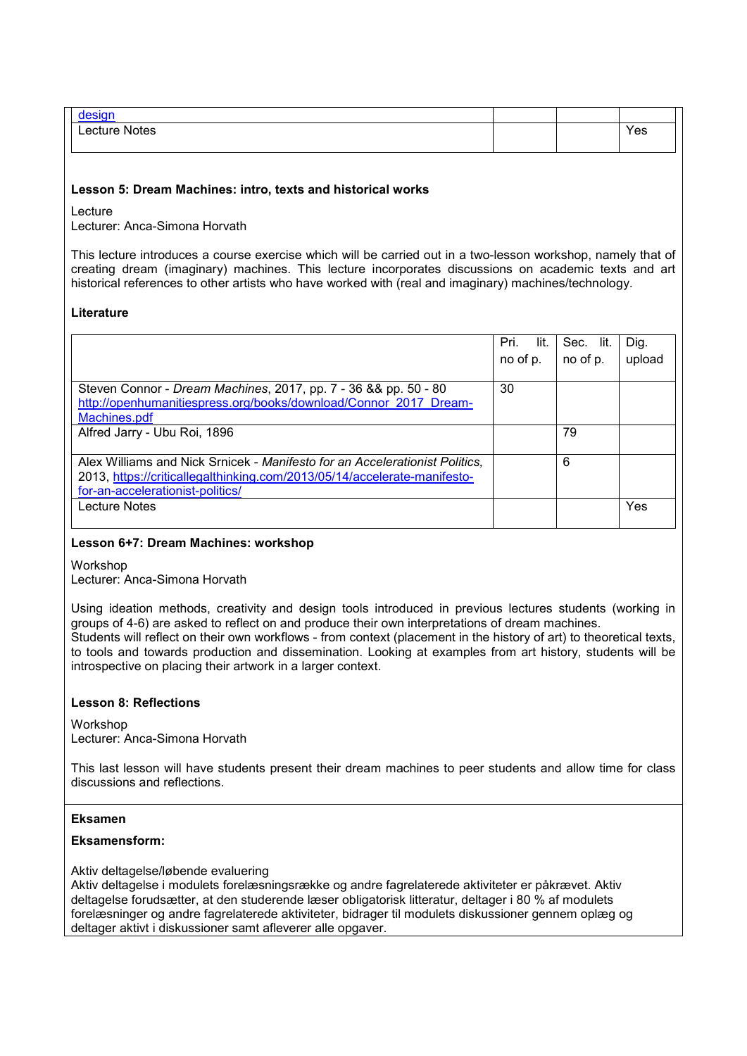| "<br>aes      |  |     |
|---------------|--|-----|
| Lecture Notes |  | Yes |
|               |  |     |

#### **Lesson 5: Dream Machines: intro, texts and historical works**

Lecture

Lecturer: Anca-Simona Horvath

This lecture introduces a course exercise which will be carried out in a two-lesson workshop, namely that of creating dream (imaginary) machines. This lecture incorporates discussions on academic texts and art historical references to other artists who have worked with (real and imaginary) machines/technology.

#### **Literature**

|                                                                                                                                                                                             | Pri.<br>lit. | Sec. lit. | Dig.   |
|---------------------------------------------------------------------------------------------------------------------------------------------------------------------------------------------|--------------|-----------|--------|
|                                                                                                                                                                                             | no of p.     | no of p.  | upload |
| Steven Connor - Dream Machines, 2017, pp. 7 - 36 && pp. 50 - 80<br>http://openhumanitiespress.org/books/download/Connor 2017 Dream-<br>Machines.pdf                                         | 30           |           |        |
| Alfred Jarry - Ubu Roi, 1896                                                                                                                                                                |              | 79        |        |
| Alex Williams and Nick Srnicek - Manifesto for an Accelerationist Politics,<br>2013, https://criticallegalthinking.com/2013/05/14/accelerate-manifesto-<br>for-an-accelerationist-politics/ |              | 6         |        |
| <b>Lecture Notes</b>                                                                                                                                                                        |              |           | Yes    |

#### **Lesson 6+7: Dream Machines: workshop**

Workshop

Lecturer: Anca-Simona Horvath

Using ideation methods, creativity and design tools introduced in previous lectures students (working in groups of 4-6) are asked to reflect on and produce their own interpretations of dream machines. Students will reflect on their own workflows - from context (placement in the history of art) to theoretical texts, to tools and towards production and dissemination. Looking at examples from art history, students will be introspective on placing their artwork in a larger context.

### **Lesson 8: Reflections**

Workshop

Lecturer: Anca-Simona Horvath

This last lesson will have students present their dream machines to peer students and allow time for class discussions and reflections.

#### **Eksamen**

#### **Eksamensform:**

Aktiv deltagelse/løbende evaluering

Aktiv deltagelse i modulets forelæsningsrække og andre fagrelaterede aktiviteter er påkrævet. Aktiv deltagelse forudsætter, at den studerende læser obligatorisk litteratur, deltager i 80 % af modulets forelæsninger og andre fagrelaterede aktiviteter, bidrager til modulets diskussioner gennem oplæg og deltager aktivt i diskussioner samt afleverer alle opgaver.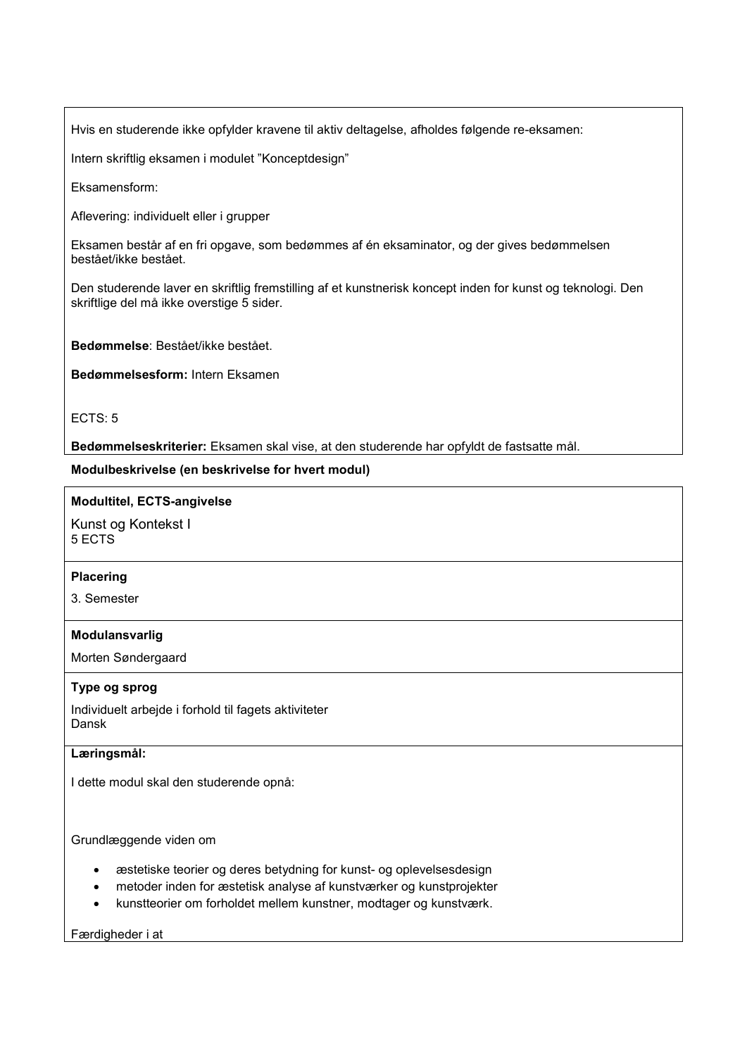Hvis en studerende ikke opfylder kravene til aktiv deltagelse, afholdes følgende re-eksamen:

Intern skriftlig eksamen i modulet "Konceptdesign"

Eksamensform:

Aflevering: individuelt eller i grupper

Eksamen består af en fri opgave, som bedømmes af én eksaminator, og der gives bedømmelsen bestået/ikke bestået.

Den studerende laver en skriftlig fremstilling af et kunstnerisk koncept inden for kunst og teknologi. Den skriftlige del må ikke overstige 5 sider.

**Bedømmelse**: Bestået/ikke bestået.

**Bedømmelsesform:** Intern Eksamen

ECTS: 5

**Bedømmelseskriterier:** Eksamen skal vise, at den studerende har opfyldt de fastsatte mål.

**Modulbeskrivelse (en beskrivelse for hvert modul)**

### **Modultitel, ECTS-angivelse**

Kunst og Kontekst I 5 ECTS

### **Placering**

3. Semester

### **Modulansvarlig**

Morten Søndergaard

### **Type og sprog**

Individuelt arbejde i forhold til fagets aktiviteter Dansk

# **Læringsmål:**

I dette modul skal den studerende opnå:

Grundlæggende viden om

- æstetiske teorier og deres betydning for kunst- og oplevelsesdesign
- metoder inden for æstetisk analyse af kunstværker og kunstprojekter
- kunstteorier om forholdet mellem kunstner, modtager og kunstværk.

Færdigheder i at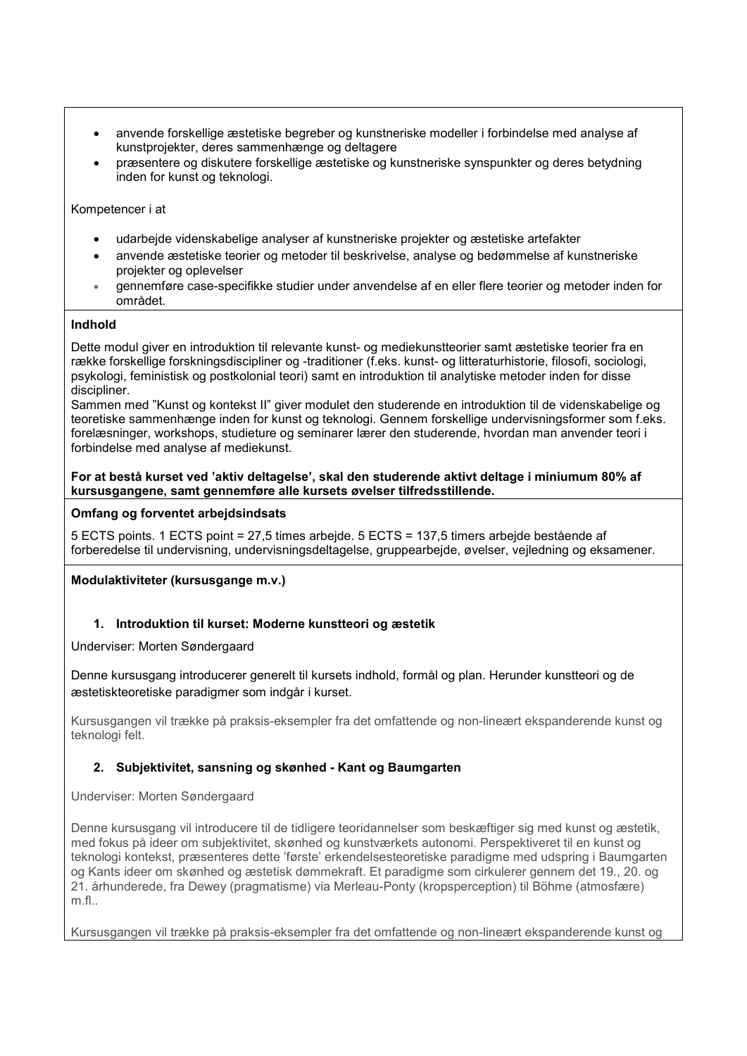- anvende forskellige æstetiske begreber og kunstneriske modeller i forbindelse med analyse af kunstprojekter, deres sammenhænge og deltagere
- præsentere og diskutere forskellige æstetiske og kunstneriske synspunkter og deres betydning inden for kunst og teknologi.

Kompetencer i at

- udarbejde videnskabelige analyser af kunstneriske projekter og æstetiske artefakter
- anvende æstetiske teorier og metoder til beskrivelse, analyse og bedømmelse af kunstneriske projekter og oplevelser
- gennemføre case-specifikke studier under anvendelse af en eller flere teorier og metoder inden for området.

## **Indhold**

Dette modul giver en introduktion til relevante kunst- og mediekunstteorier samt æstetiske teorier fra en række forskellige forskningsdiscipliner og -traditioner (f.eks. kunst- og litteraturhistorie, filosofi, sociologi, psykologi, feministisk og postkolonial teori) samt en introduktion til analytiske metoder inden for disse discipliner.

Sammen med "Kunst og kontekst II" giver modulet den studerende en introduktion til de videnskabelige og teoretiske sammenhænge inden for kunst og teknologi. Gennem forskellige undervisningsformer som f.eks. forelæsninger, workshops, studieture og seminarer lærer den studerende, hvordan man anvender teori i forbindelse med analyse af mediekunst.

#### **For at bestå kurset ved 'aktiv deltagelse', skal den studerende aktivt deltage i miniumum 80% af kursusgangene, samt gennemføre alle kursets øvelser tilfredsstillende.**

# **Omfang og forventet arbejdsindsats**

5 ECTS points. 1 ECTS point = 27,5 times arbejde. 5 ECTS = 137,5 timers arbejde bestående af forberedelse til undervisning, undervisningsdeltagelse, gruppearbejde, øvelser, vejledning og eksamener.

**Modulaktiviteter (kursusgange m.v.)**

# **1. Introduktion til kurset: Moderne kunstteori og æstetik**

Underviser: Morten Søndergaard

Denne kursusgang introducerer generelt til kursets indhold, formål og plan. Herunder kunstteori og de æstetiskteoretiske paradigmer som indgår i kurset.

Kursusgangen vil trække på praksis-eksempler fra det omfattende og non-lineært ekspanderende kunst og teknologi felt.

# **2. Subjektivitet, sansning og skønhed - Kant og Baumgarten**

Underviser: Morten Søndergaard

Denne kursusgang vil introducere til de tidligere teoridannelser som beskæftiger sig med kunst og æstetik, med fokus på ideer om subjektivitet, skønhed og kunstværkets autonomi. Perspektiveret til en kunst og teknologi kontekst, præsenteres dette 'første' erkendelsesteoretiske paradigme med udspring i Baumgarten og Kants ideer om skønhed og æstetisk dømmekraft. Et paradigme som cirkulerer gennem det 19., 20. og 21. århunderede, fra Dewey (pragmatisme) via Merleau-Ponty (kropsperception) til Böhme (atmosfære) m.fl..

Kursusgangen vil trække på praksis-eksempler fra det omfattende og non-lineært ekspanderende kunst og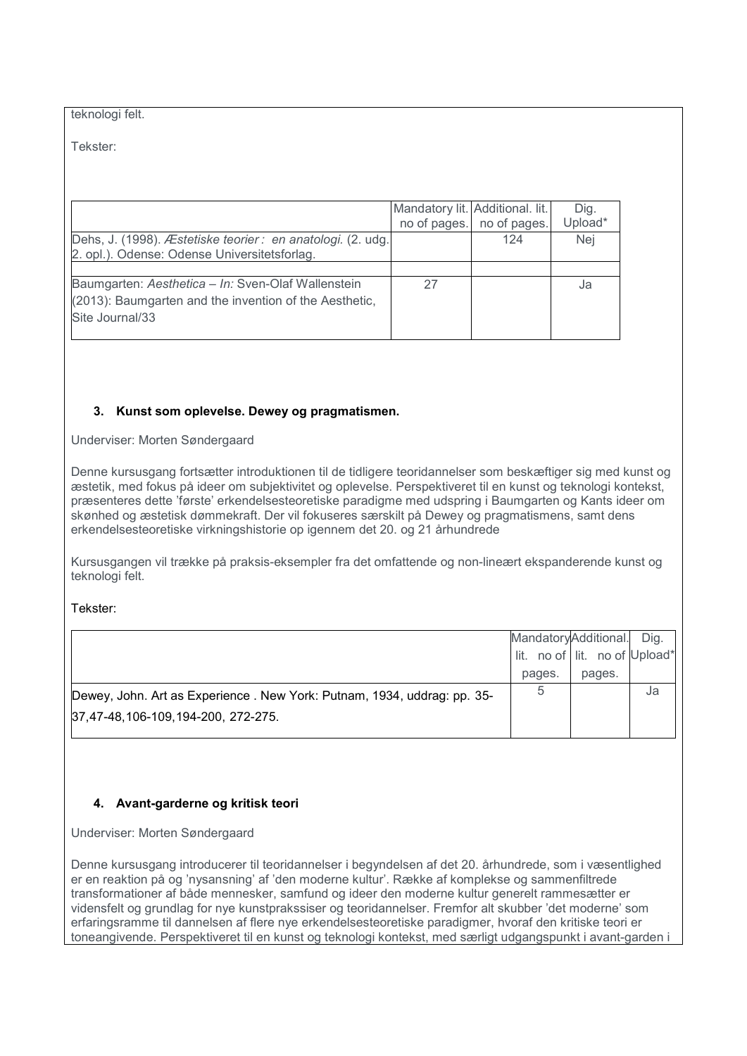#### teknologi felt.

Tekster:

|                                                                                                                                 | Mandatory lit. Additional. lit. | no of pages. no of pages. | Dig.<br>Upload* |
|---------------------------------------------------------------------------------------------------------------------------------|---------------------------------|---------------------------|-----------------|
| Dehs, J. (1998). Æstetiske teorier : en anatologi. (2. udg.<br>2. opl.). Odense: Odense Universitetsforlag.                     |                                 | 124                       | Nej             |
|                                                                                                                                 |                                 |                           |                 |
| Baumgarten: Aesthetica - In: Sven-Olaf Wallenstein<br>(2013): Baumgarten and the invention of the Aesthetic,<br>Site Journal/33 | 27                              |                           | Ja              |

# **3. Kunst som oplevelse. Dewey og pragmatismen.**

Underviser: Morten Søndergaard

Denne kursusgang fortsætter introduktionen til de tidligere teoridannelser som beskæftiger sig med kunst og æstetik, med fokus på ideer om subjektivitet og oplevelse. Perspektiveret til en kunst og teknologi kontekst, præsenteres dette 'første' erkendelsesteoretiske paradigme med udspring i Baumgarten og Kants ideer om skønhed og æstetisk dømmekraft. Der vil fokuseres særskilt på Dewey og pragmatismens, samt dens erkendelsesteoretiske virkningshistorie op igennem det 20. og 21 århundrede

Kursusgangen vil trække på praksis-eksempler fra det omfattende og non-lineært ekspanderende kunst og teknologi felt.

Tekster:

|                                                                          | MandatoryAdditional.          |        | Dig. |
|--------------------------------------------------------------------------|-------------------------------|--------|------|
|                                                                          | lit. no of lit. no of Upload* |        |      |
|                                                                          | pages.                        | pages. |      |
| Dewey, John. Art as Experience . New York: Putnam, 1934, uddrag: pp. 35- | 5                             |        | Ja   |
| 37,47-48,106-109,194-200, 272-275.                                       |                               |        |      |
|                                                                          |                               |        |      |

# **4. Avant-garderne og kritisk teori**

Underviser: Morten Søndergaard

Denne kursusgang introducerer til teoridannelser i begyndelsen af det 20. århundrede, som i væsentlighed er en reaktion på og 'nysansning' af 'den moderne kultur'. Række af komplekse og sammenfiltrede transformationer af både mennesker, samfund og ideer den moderne kultur generelt rammesætter er vidensfelt og grundlag for nye kunstprakssiser og teoridannelser. Fremfor alt skubber 'det moderne' som erfaringsramme til dannelsen af flere nye erkendelsesteoretiske paradigmer, hvoraf den kritiske teori er toneangivende. Perspektiveret til en kunst og teknologi kontekst, med særligt udgangspunkt i avant-garden i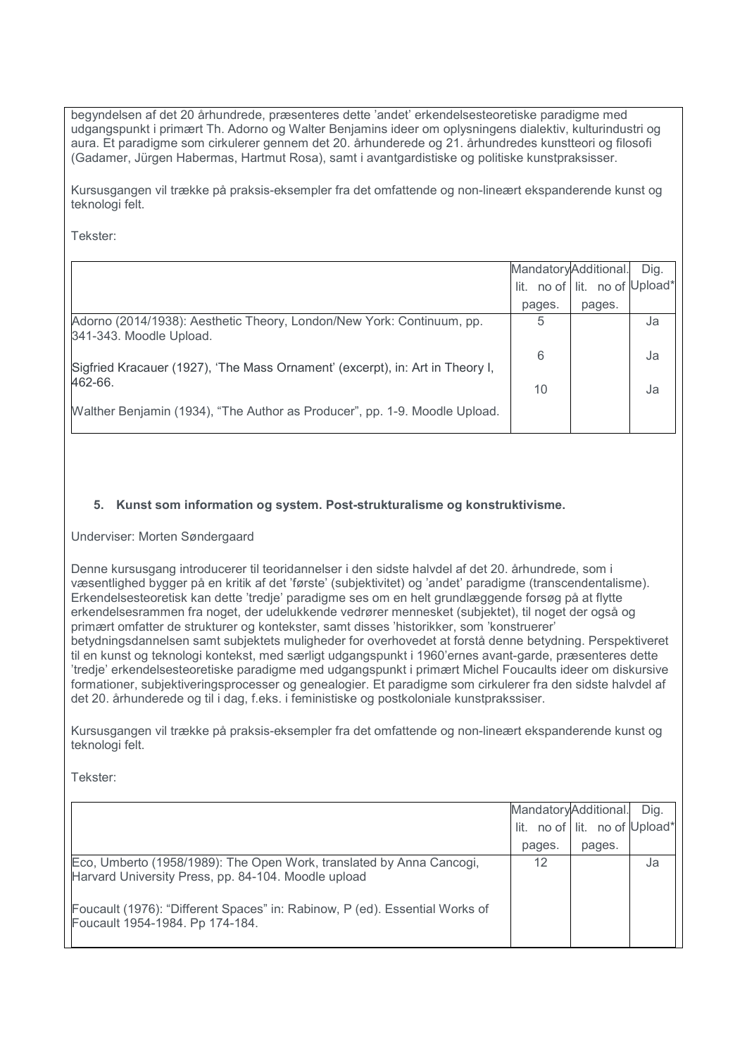begyndelsen af det 20 århundrede, præsenteres dette 'andet' erkendelsesteoretiske paradigme med udgangspunkt i primært Th. Adorno og Walter Benjamins ideer om oplysningens dialektiv, kulturindustri og aura. Et paradigme som cirkulerer gennem det 20. århunderede og 21. århundredes kunstteori og filosofi (Gadamer, Jürgen Habermas, Hartmut Rosa), samt i avantgardistiske og politiske kunstpraksisser.

Kursusgangen vil trække på praksis-eksempler fra det omfattende og non-lineært ekspanderende kunst og teknologi felt.

Tekster:

|                                                                                                  | MandatoryAdditional. |                               | Dig. |
|--------------------------------------------------------------------------------------------------|----------------------|-------------------------------|------|
|                                                                                                  |                      | lit. no of lit. no of Upload* |      |
|                                                                                                  | pages.               | pages.                        |      |
| Adorno (2014/1938): Aesthetic Theory, London/New York: Continuum, pp.<br>341-343. Moodle Upload. | 5                    |                               | Ja   |
| Sigfried Kracauer (1927), 'The Mass Ornament' (excerpt), in: Art in Theory I,                    | 6                    |                               | Ja   |
| 462-66.                                                                                          | 10                   |                               | Ja   |
| Walther Benjamin (1934), "The Author as Producer", pp. 1-9. Moodle Upload.                       |                      |                               |      |

# **5. Kunst som information og system. Post-strukturalisme og konstruktivisme.**

Underviser: Morten Søndergaard

Denne kursusgang introducerer til teoridannelser i den sidste halvdel af det 20. århundrede, som i væsentlighed bygger på en kritik af det 'første' (subjektivitet) og 'andet' paradigme (transcendentalisme). Erkendelsesteoretisk kan dette 'tredje' paradigme ses om en helt grundlæggende forsøg på at flytte erkendelsesrammen fra noget, der udelukkende vedrører mennesket (subjektet), til noget der også og primært omfatter de strukturer og kontekster, samt disses 'historikker, som 'konstruerer' betydningsdannelsen samt subjektets muligheder for overhovedet at forstå denne betydning. Perspektiveret til en kunst og teknologi kontekst, med særligt udgangspunkt i 1960'ernes avant-garde, præsenteres dette 'tredje' erkendelsesteoretiske paradigme med udgangspunkt i primært Michel Foucaults ideer om diskursive formationer, subjektiveringsprocesser og genealogier. Et paradigme som cirkulerer fra den sidste halvdel af det 20. århunderede og til i dag, f.eks. i feministiske og postkoloniale kunstprakssiser.

Kursusgangen vil trække på praksis-eksempler fra det omfattende og non-lineært ekspanderende kunst og teknologi felt.

Tekster:

|                                                                                                                             | MandatoryAdditional. | lit. no of lit. no of Upload* | Dig. |
|-----------------------------------------------------------------------------------------------------------------------------|----------------------|-------------------------------|------|
|                                                                                                                             | pages.               | pages.                        |      |
| Eco, Umberto (1958/1989): The Open Work, translated by Anna Cancogi,<br>Harvard University Press, pp. 84-104. Moodle upload | 12                   |                               | Ja   |
| Foucault (1976): "Different Spaces" in: Rabinow, P (ed). Essential Works of<br>Foucault 1954-1984. Pp 174-184.              |                      |                               |      |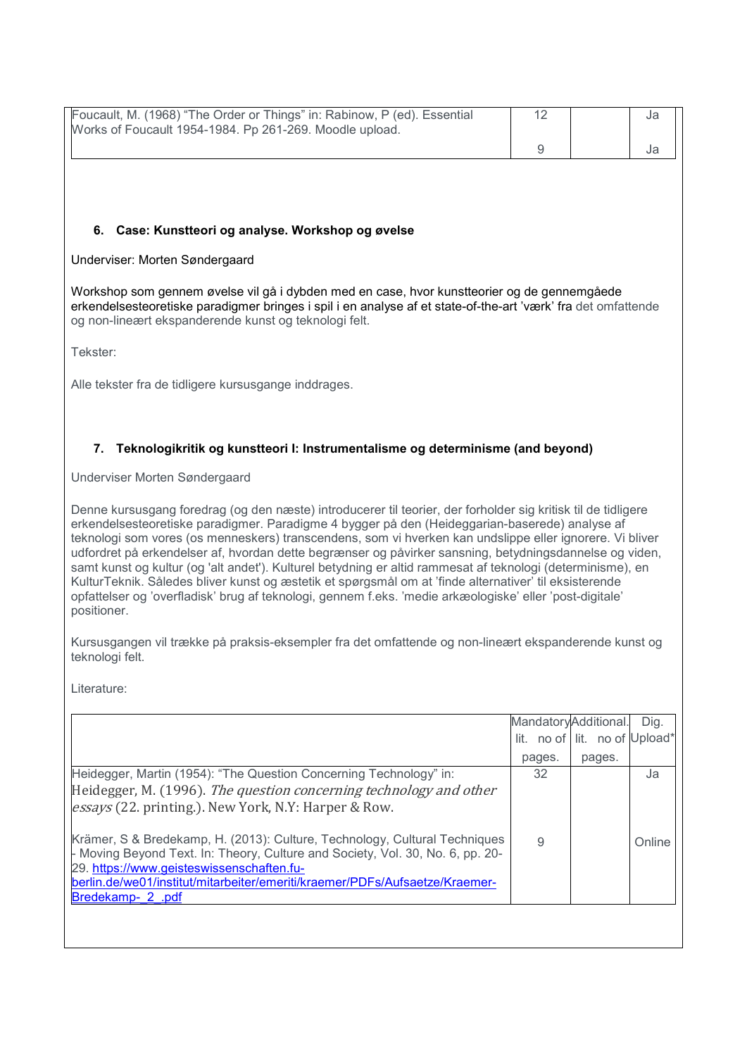| Foucault, M. (1968) "The Order or Things" in: Rabinow, P (ed). Essential<br>Works of Foucault 1954-1984. Pp 261-269. Moodle upload.                                                                                                                                                                                                                                                                                                                                                                                                                                                                                                                                                                                                                                                        | 12                   |                               | Ja   |  |  |
|--------------------------------------------------------------------------------------------------------------------------------------------------------------------------------------------------------------------------------------------------------------------------------------------------------------------------------------------------------------------------------------------------------------------------------------------------------------------------------------------------------------------------------------------------------------------------------------------------------------------------------------------------------------------------------------------------------------------------------------------------------------------------------------------|----------------------|-------------------------------|------|--|--|
|                                                                                                                                                                                                                                                                                                                                                                                                                                                                                                                                                                                                                                                                                                                                                                                            | $\boldsymbol{9}$     |                               | Ja   |  |  |
|                                                                                                                                                                                                                                                                                                                                                                                                                                                                                                                                                                                                                                                                                                                                                                                            |                      |                               |      |  |  |
|                                                                                                                                                                                                                                                                                                                                                                                                                                                                                                                                                                                                                                                                                                                                                                                            |                      |                               |      |  |  |
|                                                                                                                                                                                                                                                                                                                                                                                                                                                                                                                                                                                                                                                                                                                                                                                            |                      |                               |      |  |  |
| 6. Case: Kunstteori og analyse. Workshop og øvelse                                                                                                                                                                                                                                                                                                                                                                                                                                                                                                                                                                                                                                                                                                                                         |                      |                               |      |  |  |
| Underviser: Morten Søndergaard                                                                                                                                                                                                                                                                                                                                                                                                                                                                                                                                                                                                                                                                                                                                                             |                      |                               |      |  |  |
| Workshop som gennem øvelse vil gå i dybden med en case, hvor kunstteorier og de gennemgåede<br>erkendelsesteoretiske paradigmer bringes i spil i en analyse af et state-of-the-art 'værk' fra det omfattende<br>og non-lineært ekspanderende kunst og teknologi felt.                                                                                                                                                                                                                                                                                                                                                                                                                                                                                                                      |                      |                               |      |  |  |
| Tekster:                                                                                                                                                                                                                                                                                                                                                                                                                                                                                                                                                                                                                                                                                                                                                                                   |                      |                               |      |  |  |
| Alle tekster fra de tidligere kursusgange inddrages.                                                                                                                                                                                                                                                                                                                                                                                                                                                                                                                                                                                                                                                                                                                                       |                      |                               |      |  |  |
|                                                                                                                                                                                                                                                                                                                                                                                                                                                                                                                                                                                                                                                                                                                                                                                            |                      |                               |      |  |  |
| 7. Teknologikritik og kunstteori I: Instrumentalisme og determinisme (and beyond)                                                                                                                                                                                                                                                                                                                                                                                                                                                                                                                                                                                                                                                                                                          |                      |                               |      |  |  |
| Underviser Morten Søndergaard                                                                                                                                                                                                                                                                                                                                                                                                                                                                                                                                                                                                                                                                                                                                                              |                      |                               |      |  |  |
| Denne kursusgang foredrag (og den næste) introducerer til teorier, der forholder sig kritisk til de tidligere<br>erkendelsesteoretiske paradigmer. Paradigme 4 bygger på den (Heideggarian-baserede) analyse af<br>teknologi som vores (os menneskers) transcendens, som vi hverken kan undslippe eller ignorere. Vi bliver<br>udfordret på erkendelser af, hvordan dette begrænser og påvirker sansning, betydningsdannelse og viden,<br>samt kunst og kultur (og 'alt andet'). Kulturel betydning er altid rammesat af teknologi (determinisme), en<br>KulturTeknik. Således bliver kunst og æstetik et spørgsmål om at 'finde alternativer' til eksisterende<br>opfattelser og 'overfladisk' brug af teknologi, gennem f.eks. 'medie arkæologiske' eller 'post-digitale'<br>positioner. |                      |                               |      |  |  |
| Kursusgangen vil trække på praksis-eksempler fra det omfattende og non-lineært ekspanderende kunst og<br>teknologi felt.                                                                                                                                                                                                                                                                                                                                                                                                                                                                                                                                                                                                                                                                   |                      |                               |      |  |  |
| Literature:                                                                                                                                                                                                                                                                                                                                                                                                                                                                                                                                                                                                                                                                                                                                                                                |                      |                               |      |  |  |
|                                                                                                                                                                                                                                                                                                                                                                                                                                                                                                                                                                                                                                                                                                                                                                                            | MandatoryAdditional. |                               | Dig. |  |  |
|                                                                                                                                                                                                                                                                                                                                                                                                                                                                                                                                                                                                                                                                                                                                                                                            |                      | lit. no of lit. no of Upload* |      |  |  |
| Heidegger, Martin (1954): "The Question Concerning Technology" in:                                                                                                                                                                                                                                                                                                                                                                                                                                                                                                                                                                                                                                                                                                                         | pages.<br>32         | pages.                        | Ja   |  |  |
| Heidegger, M. (1996). The question concerning technology and other<br>essays (22. printing.). New York, N.Y: Harper & Row.                                                                                                                                                                                                                                                                                                                                                                                                                                                                                                                                                                                                                                                                 |                      |                               |      |  |  |

Krämer, S & Bredekamp, H. (2013): Culture, Technology, Cultural Techniques - Moving Beyond Text. In: Theory, Culture and Society, Vol. 30, No. 6, pp. 20- 29. <u>https://www.geisteswissenschaften.fu-</u> [berlin.de/we01/institut/mitarbeiter/emeriti/kraemer/PDFs/Aufsaetze/Kraemer-](https://www.geisteswissenschaften.fu-berlin.de/we01/institut/mitarbeiter/emeriti/kraemer/PDFs/Aufsaetze/Kraemer-Bredekamp-_2_.pdf)Bredekamp- 2 .pdf 9 Online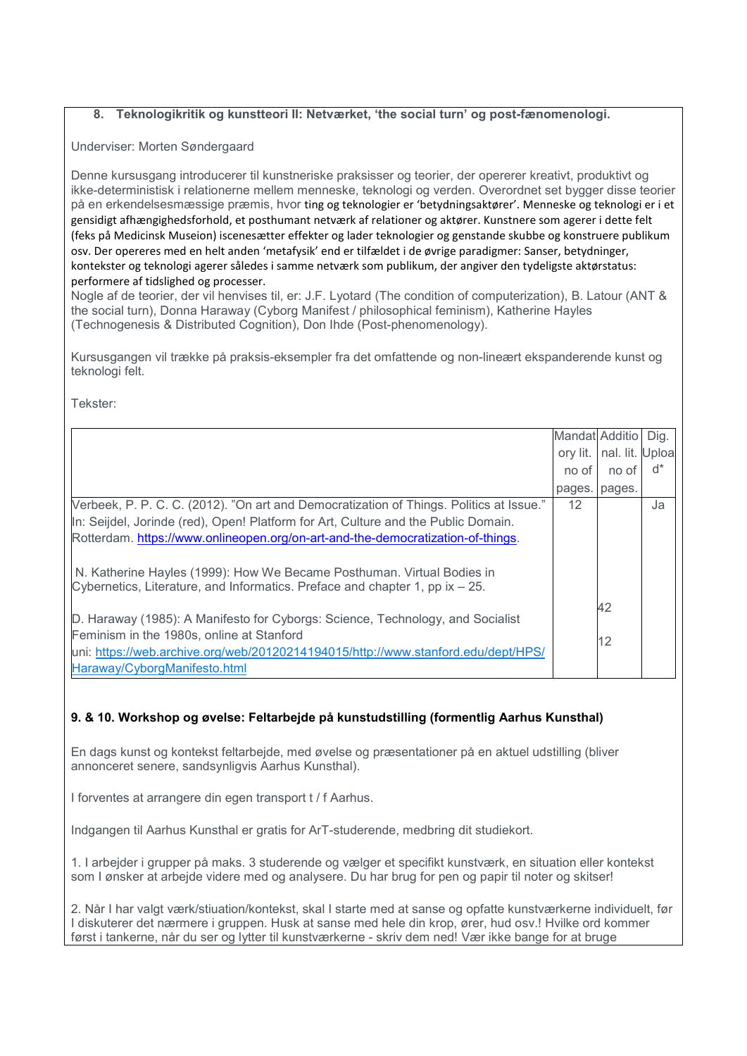### **8. Teknologikritik og kunstteori II: Netværket, 'the social turn' og post-fænomenologi.**

Underviser: Morten Søndergaard

Denne kursusgang introducerer til kunstneriske praksisser og teorier, der opererer kreativt, produktivt og ikke-deterministisk i relationerne mellem menneske, teknologi og verden. Overordnet set bygger disse teorier på en erkendelsesmæssige præmis, hvor ting og teknologier er 'betydningsaktører'. Menneske og teknologi er i et gensidigt afhængighedsforhold, et posthumant netværk af relationer og aktører. Kunstnere som agerer i dette felt (feks på Medicinsk Museion) iscenesætter effekter og lader teknologier og genstande skubbe og konstruere publikum osv. Der opereres med en helt anden 'metafysik' end er tilfældet i de øvrige paradigmer: Sanser, betydninger, kontekster og teknologi agerer således i samme netværk som publikum, der angiver den tydeligste aktørstatus: performere af tidslighed og processer.

Nogle af de teorier, der vil henvises til, er: J.F. Lyotard (The condition of computerization), B. Latour (ANT & the social turn), Donna Haraway (Cyborg Manifest / philosophical feminism), Katherine Hayles (Technogenesis & Distributed Cognition), Don Ihde (Post-phenomenology).

Kursusgangen vil trække på praksis-eksempler fra det omfattende og non-lineært ekspanderende kunst og teknologi felt.

Tekster:

|                                                                                         | Mandat Additio |                 | Dig.  |
|-----------------------------------------------------------------------------------------|----------------|-----------------|-------|
|                                                                                         | ory lit.       | nal. lit. Uploa |       |
|                                                                                         | no of          | no of           | $d^*$ |
|                                                                                         | pages.         | pages.          |       |
| Verbeek, P. P. C. C. (2012). "On art and Democratization of Things. Politics at Issue." | 12             |                 | Ja    |
| In: Seijdel, Jorinde (red), Open! Platform for Art, Culture and the Public Domain.      |                |                 |       |
| Rotterdam. https://www.onlineopen.org/on-art-and-the-democratization-of-things.         |                |                 |       |
|                                                                                         |                |                 |       |
| N. Katherine Hayles (1999): How We Became Posthuman. Virtual Bodies in                  |                |                 |       |
| Cybernetics, Literature, and Informatics. Preface and chapter 1, pp $ix - 25$ .         |                |                 |       |
|                                                                                         |                | 42              |       |
| D. Haraway (1985): A Manifesto for Cyborgs: Science, Technology, and Socialist          |                |                 |       |
| Feminism in the 1980s, online at Stanford                                               |                | 12              |       |
| uni: https://web.archive.org/web/20120214194015/http://www.stanford.edu/dept/HPS/       |                |                 |       |
| Haraway/CyborgManifesto.html                                                            |                |                 |       |

### **9. & 10. Workshop og øvelse: Feltarbejde på kunstudstilling (formentlig Aarhus Kunsthal)**

En dags kunst og kontekst feltarbejde, med øvelse og præsentationer på en aktuel udstilling (bliver annonceret senere, sandsynligvis Aarhus Kunsthal).

I forventes at arrangere din egen transport t / f Aarhus.

Indgangen til Aarhus Kunsthal er gratis for ArT-studerende, medbring dit studiekort.

1. I arbejder i grupper på maks. 3 studerende og vælger et specifikt kunstværk, en situation eller kontekst som I ønsker at arbejde videre med og analysere. Du har brug for pen og papir til noter og skitser!

2. Når I har valgt værk/stiuation/kontekst, skal I starte med at sanse og opfatte kunstværkerne individuelt, før I diskuterer det nærmere i gruppen. Husk at sanse med hele din krop, ører, hud osv.! Hvilke ord kommer først i tankerne, når du ser og lytter til kunstværkerne - skriv dem ned! Vær ikke bange for at bruge